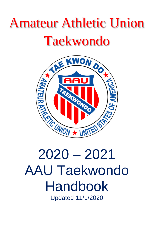# Amateur Athletic Union Taekwondo



# 2020 – 2021 AAU Taekwondo Handbook Updated 11/1/2020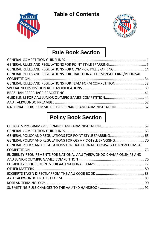**Table of Contents**





# **Rule Book Section**

| GENERAL RULES AND REGULATIONS FOR OLYMPIC-STYLE SPARRING  14         |  |
|----------------------------------------------------------------------|--|
| GENERAL RULES AND REGULATIONS FOR TRADITIONAL FORMS/PATTERNS/POOMSAE |  |
|                                                                      |  |
| GENERAL RULES AND REGULATIONS FOR TEAM FORM COMPETITION  38          |  |
|                                                                      |  |
|                                                                      |  |
|                                                                      |  |
|                                                                      |  |
| NATIONAL SPORT COMMITTEE GOVERNANCE AND ADMINISTRATION  52           |  |
|                                                                      |  |

# **Policy Book Section**

| GENERAL POLICY AND REGULATIONS FOR POINT STYLE SPARRING 65            |  |
|-----------------------------------------------------------------------|--|
|                                                                       |  |
| GENERAL POLICY AND REGULATIONS FOR TRADITIONAL FORMS/PATTERNS/POOMSAE |  |
|                                                                       |  |
| ELIGIBILITY REQUIREMENTS FOR NATIONAL AAU TAEKWONDO CHAMPIONSHIPS AND |  |
|                                                                       |  |
|                                                                       |  |
|                                                                       |  |
|                                                                       |  |
|                                                                       |  |
|                                                                       |  |
|                                                                       |  |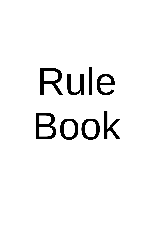# Rule Book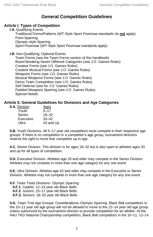## **General Competition Guidelines**

#### <span id="page-3-0"></span>**Article I. Types of Competition**

**I.A.** Qualifying Events Traditional Forms/Patterns (WT-Style Sport Poomsae standards do **not** apply) Point-Sparring Olympic-style Sparring Sport Poomsae (WT-Style Sport Poomsae standards apply)

**I.B.** Non-Qualifying, Optional Events

Team Forms (see the Team Forms section of this handbook) Board Breaking-Seven Different Categories (see J.O. Games Rules) Creative Forms (see J.O. Games Rules) Creative Musical Forms (see J.O. Games Rules) Weapons Forms (see J.O. Games Rules) Musical Weapons Forms (see J.O. Games Rules) Demo Team Competition (see J.O. Games Rules) Self Defense (see for J.O. Games Rules) Padded Weapons Sparring (see J.O. Games Rules) Special Needs

#### **Article II. General Guidelines for Divisions and Age Categories**

| <b>II.A.</b> Division | Ages      |
|-----------------------|-----------|
| Youth                 | $5 - 17$  |
| Senior                | $18 - 32$ |
| Executive             | $33 - 42$ |
| Ultra                 | 43 and Up |
|                       |           |

**II.B.** Youth Divisions. All 5–17 year old competitors must compete in their respective age groups. If there is no competition in a competitor's age group, tournament directors reserve the right to move that competitor up in age.

**II.C.** Senior Division. This division is for ages 18–32 but is also open to athletes ages 33 and up for all types of competition.

**II.D.** Executive Division. Athletes age 33 and older may compete in the Senior Division. Athletes may not compete in more than one age category for any one event.

**II.E.** Ultra Division. Athletes age 43 and older may compete in the Executive or Senior Division. Athletes may not compete in more than one age category for any one event.

**II.F.** Team Trials Divisions- Olympic Sparring

- **II.F.1**. Cadets: 12–14 year old Black Belts
- **II.F.2**. Juniors: 15–17 year old Black Belts
- **II.F.3.** Seniors: 18–32 year old Black Belts

**II.G.** Team Trial Age Groups' Considerations–Olympic Sparring. Black Belt competitors in the 10–11 year old age group will not be allowed to move to the 12–14 year old age group unless authorized by the tournament director to provide competition for an athlete. At the AAU TKD National Championship competition, Black Belt competitors in the 10–11, 12–14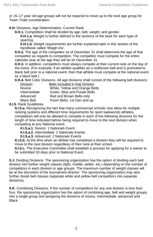or 15–17 year old age groups will not be required to move up to the next age group for Team Trials consideration.

**II.H.** Divisions, Age Determination, Current Rank.

**II.H.1.** Competition shall be divided by age, belt, weight, and gender.

**II.H.1.a.** Weight is further defined in the sections of the book for each type of sparring.

**II.H.1.b.** Weight requirements are further explained later in this section of the handbook called 'Weigh-Ins'.

**II.H.2.** The age of the competitor as of December 31 shall determine the age of that competitor as regards to competition. The competitor must compete for the entire calendar year at the age they will be on December 31.

**II.H.3.** In addition, competitors must always compete at their current rank on the day of the event. (For example, if an athlete qualifies as a red/brown belt and is promoted to black belt prior to a national event, then that athlete must compete at the national event as a black belt.)

**II.H.4.** Belt Color Divisions. All age divisions shall consist of the following belt divisions:

| Division          | Belts Included in that Division |
|-------------------|---------------------------------|
| Novice            | White, Yellow and Orange Belts  |
| Intermediate      | Green, Blue and Purple Belts    |
| Advanced          | Red and Brown Belts only        |
| <b>Black Belt</b> | Poom Belts, 1st Dan and up      |

**II.I.5.** Rank Guidelines

**II.I.5.a.** Recognizing the fact that many commercial schools now allow for multiple ranking systems and different time requirements for sport taekwondo athletes, competitors will only be allowed to compete in each of the following divisions for the length of time indicated before being required to move to the next division when competing at any National event.

**II.I.5.a.1.** Novice: 1 Nationals Event

**II.I.5.a.2.** Intermediate: 2 Nationals Events

**II.I.5.a.3.** Advanced: 2 Nationals Events

**II.I.5.b.** At the time when an athlete has completed a division they will be required to move to the next division regardless of their rank at their school.

**II.I.5.c.** The Executive Committee shall establish a process for applying for a waiver to be submitted 30 days prior to National Event.

**II.J.** Dividing Divisions. The sponsoring organization has the option of dividing each belt division into further weight classes (light, middle, welter, etc.) depending on the number of competitors in each division or age groups. The maximum number of weight classes will be at the discretion of the tournament director. The sponsoring organization may also further divide belt classes (separate white and yellow belt competitors into separate divisions).

**II.K.** Combining Divisions. If the number of competitors for any one division is less than four, the sponsoring organization has the option of combining age, belt and weight groups into a single group and assigning the divisions of novice, intermediate, advanced and **Black**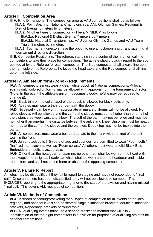#### **Article III. Competition Area**

**III.A.** Ring Dimensions: The competition area at AAU competitions shall be as follows: **III.A.1.** Point Sparring: National Championships, AAU Olympic Games, Regional & District Events: 6 meters by 6 meters

**III.A.2.** All other types of competition will be a MINIMUM as follows:

**lll.A.2.a.** Regional & District Events: 7 meters by 7 meters

**lll.A.2.b.** National Championships, AAU Junior Olympic Games and AAU Team Trials: 8 meters by 8 meters

**III.A.3.** Tournament directors have the option to use an octagon ring or any size ring at tournament director's discretion.

**III.B.** Competitor Positioning. The referee, standing in the center of the ring, will call the competitors to take their place for competition. The athlete should quickly report to the spot pointed at by the Referee for each competitor. The Blue competitor shall always line up on the right side of the Referee as he faces the head table and the Red competitor shall line up on the left side.

#### **Article IV. Athlete Uniform (Dobok) Requirements**

**IV.A.** All competitors must wear a clean white dobok at National competitions. At local events only, colored uniforms may be allowed with approval from the tournament director. (Note: In the event the athlete's uniform becomes bloody, he/she may be required to change it).

**IV.B.** Black trim on the collar/lapel of the dobok is allowed for black belts only.

**IV.C.** Athletes may wear a t-shirt underneath the dobok.

**IV.D.** No Jewelry can be worn. Inappropriate or unsafe uniforms will not be allowed. No rolled sleeves will be allowed and the cuff of the sleeve must be no higher than one half of the distance between wrist and elbow. The cuff of the pant may not be rolled and must be no higher than one-half the distance between the ankle and knee. Uniforms must be neatly hemmed at the cuff of the sleeve and the pant leg. Dobok top may not be tucked into the pants.

**IV.E.** All competitors must wear a belt appropriate to their rank with the knot of the belt worn in the front.

**IV.F.** Junior black belts (15 years of age and younger) are permitted to wear "Poom belts" (half-red, half-black) as well as "Poom collars." All others must wear a solid Black Belt. Embroidery on belts is acceptable.

**IV.G**. Other than the headgear for sparring, no other item shall be worn on the head with the exception of religious headwear which shall be worn under the headgear and inside the uniform and shall not cause harm or obstruct the opposing competitor.

#### **Article V. Failure to Report**

Athletes may be disqualified if they fail to report to staging and have not responded to "final call." Once an athlete has been disqualified, they will not be allowed to compete. This INCLUDES reporting to the appropriate ring prior to the start of the division and having missed "final call." This covers ALL methods of competition.

#### **Article VI. Methods of Competition**

**VI.A.** Methods of scoring/bracketing for all types of competition for all events at the local, regional, and national levels can be scored, single elimination brackets, double elimination brackets, Repechage brackets or round robin.

**VI.B.** All qualifying events must use a scoring/bracketing method that will allow identification of the top eight competitors in a division for purposes of qualifying athletes for national competitions.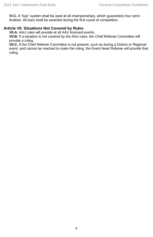**VI.C.** A "bye" system shall be used at all championships, which guarantees four semifinalists. All byes shall be awarded during the first round of competition.

#### **Article VII. Situations Not Covered by Rules**

**VII.A.** AAU rules will preside at all AAU licensed events.

**VII.B.** If a situation is not covered by the AAU rules, the Chief Referee Committee will provide a ruling.

**VII.C.** If the Chief Referee Committee is not present, such as during a District or Regional event, and cannot be reached to make the ruling, the Event Head Referee will provide that ruling.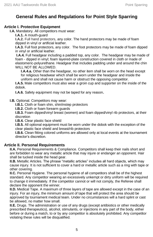## **General Rules and Regulations for Point Style Sparring**

#### <span id="page-7-0"></span>**Article I. Protective Equipment**

**I.A.** Mandatory. All competitors must wear:

**I.A.1.** A mouth-guard

**I.A.2.** Full hand protectors, any color. The hand protectors may be made of foam dipped in vinyl or artificial leather.

**I.A.3.** Full foot protectors, any color. The foot protectors may be made of foam dipped in vinyl or artificial leather.

**I.A.4.** Full headgear including a padded top, any color. The headgear may be made of foam - dipped in vinyl; foam layered-plate construction covered in cloth or made of elastomeric-polyurethane. Headgear that includes padding under and around the chin WILL NOT BE ALLOWED.

**I.A.4.a.** Other than the headgear, no other item shall be worn on the head except for religious headwear which shall be worn under the headgear and inside the uniform and shall not cause harm or obstruct the opposing competitor.

**I.A.5.** Male competitors must also wear a groin cup and supporter on the inside of the dobok.

**I.A.6.** Safety equipment may not be taped for any reason.

**I.B.** Optional. Competitors may wear:

**I.B.1.** Cloth or foam shin, shin/instep protectors

**I.B.2.** Cloth or foam forearm guards

**I.B.3.** Foam dipped/vinyl breast (women) and foam dipped/vinyl rib protectors, at their discretion

**I.B.4.** Clear plastic face shield

**I.B.5.** All optional equipment must be worn under the dobok with the exception of the clear plastic face shield and breast/rib protectors

**I.B.6.** Clean fitting colored uniforms are allowed only at local events at the tournament director's discretion.

#### **Article II. Personal Requirements**

**II.A.** Personal Requirements & Compliance. Competitors shall keep their nails short and are forbidden to wear any metallic article that may injure or endanger an opponent. Hair shall be tucked inside the head gear.

**II.B.** Metallic Articles. The phrase "metallic articles" includes all hard objects, which may cause injury. It is not sufficient to cover a hard or metallic article such as a ring with tape or other covering.

**II.C.** Personal Hygiene. The personal hygiene of all competitors shall be of the highest standard. Any competitor wearing an excessively unkempt or dirty uniform will be required to change it immediately. If the competitor cannot or will not comply, the Referee shall declare the opponent the winner.

**II.D.** Medical Tape. A maximum of three layers of tape are allowed except in the case of an injury. For an injury, the minimum amount of tape that will protect the area should be approved by tournament medical team. Under no circumstances will a hard splint or cast be allowed, no matter how small.

**II.E.** Drugs. The administration or use of any drugs (except antibiotics or other medically prescribed therapeutics), alcohol, stimulants, or injections in any part of the body, either before or during a match, to or by any competitor is absolutely prohibited. Any competitor violating these rules will be disqualified.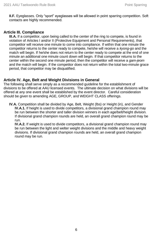**II.F.** Eyeglasses. Only "sport" eyeglasses will be allowed in point sparring competition. Soft contacts are highly recommended.

#### **Article III. Compliance**

**III.A.** If a competitor, upon being called to the center of the ring to compete, is found in violation of Articles I and/or II (Protective Equipment and Personal Requirements), that competitor will receive one minute to come into compliance. If within that one minute the competitor returns to the center ready to compete, he/she will receive a *kyong-go* and the match will begin. If he/she does not return to the center ready to compete at the end of one minute an additional one minute count down will begin. If that competitor returns to the center within the second one minute period, then the competitor will receive a *gam-jeom* and the match will begin. If the competitor does not return within the total two-minute grace period, that competitor may be disqualified.

#### **Article IV. Age, Belt and Weight Divisions in General**

The following shall serve simply as a recommended guideline for the establishment of divisions to be offered at AAU licensed events. The ultimate decision on what divisions will be offered at any one event shall be established by the event director. Careful consideration should be given to amending AGE, GROUP, and WEIGHT CLASS offerings.

**IV.A.** Competition shall be divided by Age, Belt, Weight (lbs) or Height (in), and Gender **IV.A.1.** If height is used to divide competitors, a divisional grand champion round may be run between the shorter and taller division winners in each age/belt/height division. If divisional grand champion rounds are held, an overall grand champion round may be run.

**IV.A.2.** If weight is used to divide competitors, a divisional grand champion round may be run between the light and welter weight divisions and the middle and heavy weight divisions. If divisional grand champion rounds are held, an overall grand champion round may be run.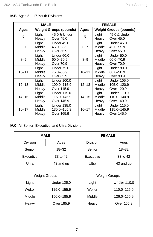| <b>MALE</b> |                               |                                                 |           | <b>FEMALE</b>            |                                                 |
|-------------|-------------------------------|-------------------------------------------------|-----------|--------------------------|-------------------------------------------------|
| Ages        | <b>Weight Groups (pounds)</b> |                                                 | Ages      |                          | <b>Weight Groups (pounds)</b>                   |
| 5           | Light<br>Heavy                | 45.0 & Under<br>Over 45.0                       | 5         | Light<br>Heavy           | 45.0 & Under<br>Over 45.0                       |
| $6 - 7$     | Light<br>Middle<br>Heavy      | Under 45.0<br>45.0 - 55.9<br>Over 55.9          | $6 - 7$   | Light<br>Middle<br>Heavy | <b>Under 45.0</b><br>45.0-55.9<br>Over 55.9     |
| $8 - 9$     | Light<br>Middle<br>Heavy      | Under 60.0<br>$60.0 - 70.9$<br>Over 70.9        | $8 - 9$   | Light<br>Middle<br>Heavy | Under 60.0<br>60.0-70.9<br>Over 70.9            |
| $10 - 11$   | Light<br>Middle<br>Heavy      | <b>Under 75.0</b><br>75.0-85.9<br>Over 85.9     | $10 - 11$ | Light<br>Middle<br>Heavy | Under 80.0<br>80.0-90.9<br>Over 90.9            |
| $12 - 13$   | Light<br>Middle<br>Heavy      | <b>Under 100.0</b><br>100.0-115.9<br>Over 115.9 | $12 - 13$ | Light<br>Middle<br>Heavy | Under 105.0<br>105.0-120.9<br>Over 120.9        |
| $14 - 15$   | Light<br>Middle<br>Heavy      | <b>Under 115.0</b><br>115.0-145.9<br>Over 145.9 | 14–15     | Light<br>Middle<br>Heavy | <b>Under 110.0</b><br>110.0-140.9<br>Over 140.9 |
| $16 - 17$   | Light<br>Middle<br>Heavy      | <b>Under 135.0</b><br>135.0-165.9<br>Over 165.9 | 16–17     | Light<br>Middle<br>Heavy | <b>Under 115.0</b><br>115.0-145.9<br>Over 145.9 |

**IV.B.** Ages 5 – 17 Youth Divisions

#### **IV.C.** All Senior, Executive, and Ultra Divisions

| <b>MALE</b> |                      | <b>FEMALE</b>        |                    |  |
|-------------|----------------------|----------------------|--------------------|--|
| Division    | Ages                 | Division             | Ages               |  |
| Senior      | $18 - 32$            | Senior               | $18 - 32$          |  |
| Executive   | 33 to 42             | Executive            | 33 to 42           |  |
| Ultra       | 43 and up            | Ultra<br>43 and up   |                    |  |
|             |                      |                      |                    |  |
|             | <b>Weight Groups</b> | <b>Weight Groups</b> |                    |  |
| Light       | <b>Under 125.0</b>   | Light                | <b>Under 110.0</b> |  |
| Welter      | 125.0-155.9          | Welter               | 110.0-125.9        |  |
| Middle      | 156.0-185.9          | Middle               | 126.0-155.9        |  |
| Heavy       | Over 185.9           | Heavy                | Over 155.9         |  |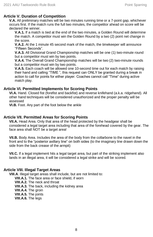#### **Article V. Duration of Competition**

**V.A.** All preliminary matches will be two minutes running time or a 7-point gap, whichever occurs first. If the match runs the full two minutes, the competitor ahead on score will be declared the winner.

**V.A.1.** If a match is tied at the end of the two minutes, a Golden Round will determine the match. A competitor must win the Golden Round by a two (2) point net change in the score.

**V.A.2.** At the 1 minute 45 second mark of the match, the timekeeper will announce "Fifteen Seconds".

**V.A.3.** All Divisional Grand Championship matches will be one (1) two-minute round but a competitor must win by two points.

**V.A.4.** The Overall Grand Championship matches will be two (2) two-minute rounds but a competitor must win by two points.

**V.A.5.** Each coach will be allowed one 10-second time out for each match by raising their hand and calling "TIME ", this request can ONLY be granted during a break in action to call for points for either player. Coaches cannot call "Time" during active match play.

#### **Article VI. Permitted Implements for Scoring Points**

**VI.A.** Hand. Closed fist (forefist and backfist) and reverse knifehand (a.k.a. ridgehand). All other hand techniques will be considered unauthorized and the proper penalty will be assessed

**VI.B.** Foot. Any part of the foot below the ankle

#### **Article VII. Permitted Areas for Scoring Points**

**VII.A.** Head Area. Only that area of the head protected by the headgear shall be considered a legal target area including that area of the forehead covered by the gear. The face area shall NOT be a target area!

**VII.B.** Body Area. Includes the area of the body from the collarbone to the navel in the front and to the "posterior axillary line" on both sides (to the imaginary line drawn down the side from the back crease of the armpit)

**VII.C.** If a legal implement hits a legal target area, but part of the striking implement also lands in an illegal area, it will be considered a legal strike and will be scored.

#### **Article VIII. Illegal Target Areas**

**VIII.A**. Illegal target areas shall include, but are not limited to:

**VIII.A.1.** The face area or face shield, if worn

**VIII.A.2.** The neck and throat

**VIII.A.3.** The back, including the kidney area

**VIII.A.4.** The groin

**VIII.A.5.** The joints

**VIII.A.6.** The legs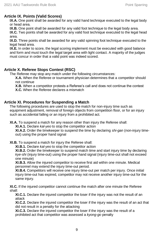#### **Article IX. Points (Valid Scores)**

**IX.A.** One point shall be awarded for any valid hand technique executed to the legal body or head area.

**IX.B.** One point shall be awarded for any valid foot technique to the legal body area.

**IX.C.** Two points shall be awarded for any valid foot technique executed to the legal head area.

**IX.D.** Three points shall be awarded for any valid spinning foot technique executed to the legal head area.

**IX.E.** In order to score, the legal scoring implement must be executed with good balance and form and must touch the legal target area with light contact. A majority of the judges must concur in order that a valid point was indeed scored.

#### **Article X. Referee Stops Contest (RSC)**

The Referee may stop any match under the following circumstances:

**X.A.** When the Referee or tournament physician determines that a competitor should not continue

**X.B.** When a competitor protests a Referee's call and does not continue the contest

**X.C.** When the Referee declares a mismatch

#### **Article XI. Procedures for Suspending a Match**

The following procedures are used to stop the match for non-injury time such as equipment adjustment, removal of foreign objects from competition floor, or for an injury such as accidental falling or an injury from a prohibited act.

**XI.A.** To suspend a match for any reason other than injury the Referee shall:

**XI.A.1.** Declare *kal-yeo* to stop the competitor action

**XI.A.2.** Order the timekeeper to suspend the time by declaring *shi-gan* (non-injury timeout) using the proper hand signal

**XI.B.** To suspend a match for injury the Referee shall:

**XI.B.1.** Declare *kal-yeo* to stop the competitor action

**XI.B.2.** Order the timekeeper to suspend match time and start injury time by declaring *kye-shi* (injury time-out) using the proper hand signal (injury time-out shall not exceed one minute)

**XI.B.3.** Allow the injured competitor to receive first aid within one minute. Medical personnel may extend the injury time-out period.

**XI.B.4.** Competitors will receive one injury time-out per match per injury. Once initial injury time-out has expired, competitor may not receive another injury time-out for the same injury.

**XI.C.** If the injured competitor cannot continue the match after one minute the Referee shall:

**XI.C.1.** Declare the injured competitor the loser if the injury was not the result of an attack

**XI.C.2.** Declare the injured competitor the loser if the injury was the result of an act that did not result in a penalty for the attacking

**XI.C.3.** Declare the injured competitor the loser if the injury was the result of a prohibited act that competitor was assessed a *kyong-go* penalty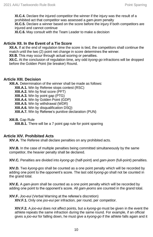**XI.C.4.** Declare the injured competitor the winner if the injury was the result of a prohibited act that competitor was assessed a *gam-jeom* penalty

**XI.C.5.** Declare a winner based on the score before the injury if both competitors are injured and cannot continue

**XI.C.6.** May consult with the Team Leader to make a decision

#### **Article XII. In the Event of a Tie Score**

**XII.A.** If at the end of regulation time the score is tied, the competitors shall continue the match until the two (2) point net change in score determines the winner.

**XII.B.** This may occur through actual scoring or penalties.

**XII.C.** At the conclusion of regulation time, any odd *kyong-go* infractions will be dropped before the Golden Point (tie breaker) Round.

#### **Article XIII. Decision**

**XIII.A.** Determination of the winner shall be made as follows:

**XIII.A.1.** Win by Referee stops contest (RSC)

**XIII.A.2.** Win by final score (PFT)

**XIII.A.3.** Win by point gap (PTG)

**XIII.A.4.** Win by Golden Point (GDP)

**XIII.A.5.** Win by withdrawal (WDR)

**XIII.A.6.** Win by disqualification DSQ)

**XIII.A.7.** Win by Referee's punitive declaration (PUN)

#### **XIII.B.** Gap Rule

**XIII.B.1.** There will be a 7 point gap rule for point sparring

#### **Article XIV. Prohibited Acts**

**XIV.A.** The Referee shall declare penalties on any prohibited acts.

**XIV.B.** In the case of multiple penalties being committed simultaneously by the same competitor, the heavier penalty shall be declared.

**XIV.C.** Penalties are divided into *kyong-go* (half-point) and *gam-jeom* (full-point) penalties.

**XIV.D.** Two *kyong-gos* shall be counted as a one point penalty which will be recorded by adding one point to the opponent's score. The last odd *kyong-go* shall not be counted in the grand total.

**XIV.E.** A *gam-jeom* shall be counted as a one point penalty which will be recorded by adding one point to the opponent's score. All *gam-jeoms* are counted in the grand total.

**XIV.F.** *Joo-eui* (Verbal Warning at the referee's discretion) **XIV.F.1.** Only one *joo-eui* per infraction, per round, per competitor.

**XIV.F.2.** A *joo-eui* does not affect points, but a *kyong-go* must be given in the event the athlete repeats the same infraction during the same round. For example, if an official gives a *joo-eui* for falling down, he must give a *kyong-go* if the athlete falls again and it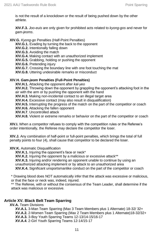is not the result of a knockdown or the result of being pushed down by the other athlete.

**XIV.F.3.** *Joo-euis* are only given for prohibited acts related to *kyong-gos* and never for *gam-jeoms*.

#### **XIV.G.** *Kyong-go* Penalties (Half-Point Penalties)

- **XIV.G.1.** Evading by turning the back to the opponent
- **XIV.G.2.** Intentionally falling down
- **XIV.G.3.** Avoiding the match
- **XIV.G.4.** Making contact with an unauthorized implement
- **XIV.G.5.** Grabbing, holding or pushing the opponent
- **XIV.G.6.** Pretending injury
- **XIV.G.7.** Crossing the boundary line with one foot touching the mat
- **XIV.G.8.** Uttering undesirable remarks or misconduct

#### **XIV.H.** *Gam-jeom* **Penalties (Full-Point Penalties)**

**XIV.H.1.** Attacking the opponent after *kal-yeo*

**XIV.H.2.** Throwing down the opponent by grappling the opponent's attacking foot in the air with the arm or by pushing the opponent with the hand

**XIV.H.3.** Making non-incidental contact to an illegal target area

**XIV.H.4.** Excessive contact (may also result in disqualification)

**XIV.H.5.** Interrupting the progress of the match on the part of the competitor or coach

**XIV.H.6.** Attacking the fallen opponent

**XIV.H.7**. Uncontrolled attack

**XIV.H.8.** Violent or extreme remarks or behavior on the part of the competitor or coach

**XIV.I.** When a competitor refuses to comply with the competition rules or the Referee's order intentionally, the Referee may declare the competitor the loser.

**XIV.J.** Any combination of half-point or full-point penalties, which brings the total of full penalty points to four (4), shall cause that competitor to be declared the loser.

#### **XIV.K.** Automatic Disqualification

**XIV.K.1.** Injuring the opponent's face or neck\*

**XIV.K.2.** Injuring the opponent by a malicious or excessive attack\*\*

**XIV.K.3.** Injuring and/or rendering an opponent unable to continue by using an

unauthorized attacking implement or by attack to an unauthorized area

**XIV.K.4.** Significant unsportsmanlike conduct on the part of the competitor or coach

\* Drawing blood does NOT automatically infer that the attack was excessive or malicious, or that the face or neck was, indeed, injured.

\*\* The Referee, with or without the consensus of the Team Leader, shall determine if the attack was malicious or excessive.

#### **Article XV. Black Belt Team Sparring**

**XV.A.** Team Divisions **XV.A.1.** 3-Man Team Sparring (Max 3 Team Members plus 1 Alternate) 18-32/ 32+ **XV.A.2.** 2-Women Team Sparring (Max 2 Team Members plus 1 Alternate)18-32/32+ **XV.A.3.** 3-Boy Youth Sparring Teams 12-13/14-15/16-17 **XV.A.4**. 2-Girl Youth Sparring Teams 12-14/15-17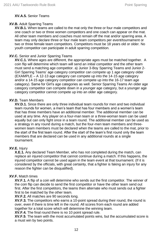#### **XV.A.5.** Senior Teams

#### **XV.B.** Adult Sparring Teams

**XV.B.1.** When teams are called to the mat only the three or four male competitors and one coach or two or three women competitors and one coach can appear on the mat. All other team members and coaches must remain off the mat and/or sparring area. A team may only declare three or four male team competitors per event/tournament or two or three female team competitors. Competitors must be 18 years old or older. No youth competitor can participate in adult sparring competition.

#### **XV.C.** Senior and Junior Sparring Teams

**XV.C.1.** Where ages are different, the appropriate ages must be matched together. A coin flip will determine which team will send an initial competitor and the other team must send a matching age competitor. a) Junior 3-Boy Sparring Teams and Junior 2- Girl Sparring Teams' age category competitor can compete up 1 age category older (EXAMPLE – A 12-13 age category can compete up into the 14-15 age category and/or a 14-15 age category competitor can compete up into the 16-17 team age category). Same for Girl's age categories as well. Senior Sparring Teams An older age category competitor can compete down in a younger age category, but a younger age category competitor cannot compete up into an older age category.

#### **XV.D.** Team Members

**XV.D.1.** Since there are only three individual team rounds for men and two individual team rounds for women, a men's team that has four members and a women's team that has three members have an additional member. The additional member can be used at any time. Any player on a four-man team or a three-woman team can be used equally but can only fight once in a team round. The additional member can be used as a strategy in any round during a match, but the four-men team members and threewomen team members must be declared when the teams are called to the mat, prior to the start of the first team round. After the start of the team's first round only the team members that are declared can be used in any additional rounds at a single tournament.

#### **XV.E.** Injury

**X.E.1.** Any declared Team Member, who has not completed during the match, can replace an injured competitor that cannot continue during a match. If this happens, the injured competitor cannot be used again in the team event at that tournament. (If it is considered by the officials, with great certainty, that a fighter is faking an injury for any reason the fighter can be disqualified).

#### **XV.F.** Match times

**XV.F.1.** A flip of a coin will determine who sends out the first competitor. The winner of the coin flip can decide to send the first competitor or have the other team send out first. After the first competitors, the teams then alternate who must sends out a fighter first to be matched by the other team.

**XV.F.2.** All matches are 90 seconds long.

**XV.F.3.** The competitors who earns a 10-point spread during their round, the round is over, even if there is time left in the round. All scores from each round are added together for a total score which will determine the winning team.

**XV.F.4.** The final round there is no 10 point spread rule.

**XV.F.5**. The team with the most accumulated points wins, but the accumulated score is a must win by two points.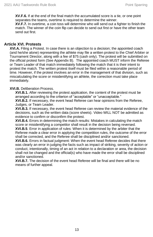**XV.F.6.** If at the end of the final match the accumulated score is a tie, or one point separates the teams, overtime is required to determine the winner.

**XV.F.7.** In overtime, a coin toss will determine who will send out a fighter to finish the match. The winner of the coin flip can decide to send out first or have the other team send out first.

#### **Article XVI. Protests**

**XVI.A.** Filing a Protest. In case there is an objection to a decision; the appointed coach (and he/she alone) representing the athlete may file a written protest to the Chief Arbiter or Tournament Director, along with a fee of \$75 (cash only). The protest will be submitted on the official protest form (See Appendix B). The appointed coach MUST inform the Referee or Team Leader of that match immediately following the match that it is their intent to protest the match. The written protest itself must be filed within a reasonable period of time. However, if the protest involves an error in the management of that division, such as miscalculating the score or misidentifying an athlete, the correction must take place immediately.

#### **XVI.B.** Deliberation Process.

**XVI.B.1.** After reviewing the protest application, the content of the protest must be arranged according to the criterion of "acceptable" or "unacceptable."

**XVI.B.2.** If necessary, the event head Referee can hear opinions from the Referee, Judges, or Team Leader.

**XVI.B.3.** If necessary, the event head Referee can review the material evidence of the decisions, such as the written data (score sheets). Video WILL NOT be admitted as evidence to confirm or disconfirm the protest.

**XVI.B.4.** Errors in determining the match results: Mistakes in calculating the match score or misidentifying a competitor shall result in the decision being reversed.

**XVI.B.5**. Error in application of rules: When it is determined by the arbiter that the Referee made a clear error in applying the competition rules, the outcome of the error shall be corrected, and the Referee shall be disciplined and/or sanctioned.

**XVI.B.6.** Errors in factual judgment: When the event head Referee decides that there was clearly an error in judging the facts such as impact of striking, severity of action or conduct, intentionally, timing of an act in relation to a declaration or area, the decision shall not be changed and the official(s) who have made the error shall be disciplined and/or sanctioned.

**XVI.B.7.** The decision of the event head Referee will be final and there will be no means of further appeal.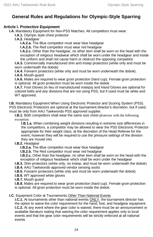## <span id="page-16-0"></span>**General Rules and Regulations for Olympic-Style Sparring**

#### **Article I. Protective Equipment**

**I.A.** Mandatory Equipment for Non-PSS Matches. All competitors must wear:

**I.A.1.** Olympic style chest protector

**I.A.2.** Headgear

**I.A.2.a.** The Blue competitor must wear blue headgear

**I.A.2.b.** The Red competitor must wear red headgear

**I.A.2.c.** Other than the headgear, no other item shall be worn on the head with the exception of religious headwear which shall be worn under the headgear and inside the uniform and shall not cause harm or obstruct the opposing competitor.

**I.A.3.** Commercially manufactured shin and instep protectors (white only and must be worn underneath the dobok)

**I.A.4.** Forearm protectors (white only and must be worn underneath the dobok).

**I.A.5.** Mouth-guard

**I.A.6.** Males are required to wear groin protection (hard cup). Female groin protection is optional. All groin protection must be worn inside the dobok

**I.A.7.** Foot Gloves (in lieu of manufactured insteps) and Hand Gloves are optional for colored belts and any divisions that are not using PSS, but if used must be white and WT approved.

**I.B.** Mandatory Equipment When Using Electronic Protector and Scoring System (PSS). PSS Electronic Protectors are optional at the tournament director's discretion, but if used, must be only from AAU Taekwondo PSS approved supplier.

**I.B.1.** Both competitors shall wear the same size chest protector with the following exception:

**I.B.1.a.** When combining weight divisions resulting in extreme size differences in the competitors, a competitor may be allowed to wear the PSS Electronic Protector appropriate for their weight class, at the discretion of the Head Referee for the event, however they will be required to use the pressure settings of the division they are moved into.

#### **I.B.2.** Headgear

**I.B.2.a.** The Blue competitor must wear blue headgear

**I.B.2.b.** The Red competitor must wear red headgear

**I.B.2.c.** Other than the headgear, no other item shall be worn on the head with the exception of religious headwear which shall be worn under the headgear

**I.B.3.** Shin protectors (white only, no instep, and must be worn underneath the dobok)

**I.B.4.** AAU Taekwondo approved vendor sensing socks

**I.B.5.** Forearm protectors (white only and must be worn underneath the dobok)

**I.B.6.** WT approved white gloves

**I.B.7.** Mouth guard

**I.B.8.** Males are required to wear groin protection (hard cup). Female groin protection is optional. All groin protection must be worn inside the dobok.

#### **I.C.** Equipment Color at Tournaments Other Than National Events

**I.C.1.** At tournaments other than national events ONLY, the tournament director has the option to waive the color requirement for the hand, foot, and headgear equipment. **I.C.2.** At any event where the gear color is waived, there must be an announcement or available literature stating that waiving the color requirement applies only to local events and that the gear color requirements will be strictly enforced at all national events.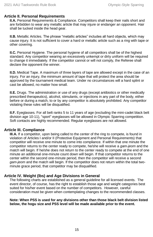#### **Article II. Personal Requirements**

**II.A.** Personal Requirements & Compliance. Competitors shall keep their nails short and are forbidden to wear any metallic article that may injure or endanger an opponent. Hair shall be tucked inside the head gear.

**II.B.** Metallic Articles. The phrase "metallic articles" includes all hard objects, which may cause injury. It is not sufficient to cover a hard or metallic article such as a ring with tape or other covering.

**II.C.** Personal Hygiene. The personal hygiene of all competitors shall be of the highest standard. Any competitor wearing an excessively unkempt or dirty uniform will be required to change it immediately. If the competitor cannot or will not comply, the Referee shall declare the opponent the winner.

**II.D.** Medical Tape. A maximum of three layers of tape are allowed except in the case of an injury. For an injury, the minimum amount of tape that will protect the area should be approved by the tournament medical team. Under no circumstances will a hard splint or cast be allowed, no matter how small.

**II.E.** Drugs. The administration or use of any drugs (except antibiotics or other medically prescribed therapeutics), alcohol, stimulants, or injections in any part of the body, either before or during a match, to or by any competitor is absolutely prohibited. Any competitor violating these rules will be disqualified.

**II.F.** Eyeglasses. For all belt ranks 5 to 11 years of age (excluding the mini-cadet black belt division age 10-11), "sport" eyeglasses will be allowed in Olympic Sparring competition. Soft contacts are highly recommended. Regular eyeglasses are not allowed.

#### **Article III. Compliance**

**III.A.** If a competitor, upon being called to the center of the ring to compete, is found in violation of Articles I and/or II (Protective Equipment and Personal Requirements) that competitor will receive one minute to come into compliance. If within that one minute the competitor returns to the center ready to compete, he/she will receive a *gam-jeom* and the match will begin. If he/she does not return to the center ready to compete at the end of one minute an additional one-minute count down will begin. If that competitor returns to the center within the second one-minute period, then the competitor will receive a second *gam-jeom* and the match will begin. If the competitor does not return within the total twominute grace period, that competitor may be disqualified.

#### **Article IV. Weight (lbs) and Age Divisions in General**

The following charts are established as a general guideline for all licensed events. The event director, of course, has the right to establish those age and weight categories best suited for his/her event based on the number of competitors. However, careful consideration must be given when contemplating changes to the recommended classes.

#### **Note: When PSS is used for any divisions other than those black belt division listed below, the hogu size and PSS level will be made available prior to the event.**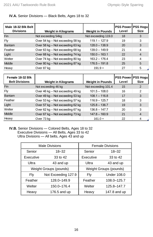#### **IV.A.** Senior Divisions — Black Belts, Ages 18 to 32

| Male 18-32 Blk Belt<br><b>Divisions</b> | <b>Weight in Kilograms</b>       | <b>Weight in Pounds</b> | <b>PSS Power PSS Hogul</b><br>Level | <b>Size</b>    |
|-----------------------------------------|----------------------------------|-------------------------|-------------------------------------|----------------|
| <b>Fin</b>                              | Not exceeding 54kg               | Not exceeding 119.0     | 18                                  | 3              |
| Fly                                     | Over 54 kg - Not exceeding 58 kg | $119.1 - 127.9$         | 19                                  | 3              |
| <b>Bantam</b>                           | Over 58 kg - Not exceeding 63 kg | $128.0 - 138.9$         | 20                                  | 3              |
| Feather                                 | Over 63 kg - Not exceeding 68 kg | $139.0 - 149.9$         | 21                                  | 4              |
| Light                                   | Over 68 kg - Not exceeding 74 kg | $150.0 - 163.1$         | 22                                  | $\overline{4}$ |
| Welter                                  | Over 74 kg - Not exceeding 80 kg | $163.2 - 176.4$         | 23                                  | 4              |
| Middle                                  | Over 80 kg - Not exceeding 87 kg | $176.5 - 191.8$         | 25                                  | 5              |
| Heavy                                   | Over 87 kg                       | $191.9 +$               | 27                                  | 5              |

| Female 18-32 Blk<br><b>Belt Divisions</b> | <b>Weight in Kilograms</b>       | <b>Weight in Pounds</b> | <b>PSS Power PSS Hogul</b><br>Level | <b>Size</b> |
|-------------------------------------------|----------------------------------|-------------------------|-------------------------------------|-------------|
| <b>Fin</b>                                | Not exceeding 46 kg              | Not exceeding 101.4     | 15                                  | 2           |
| Fly                                       | Over 46 kg - Not exceeding 49 kg | $101.5 - 108.0$         | 16                                  | 2           |
| <b>Bantam</b>                             | Over 49 kg - Not exceeding 53 kg | $108.1 - 116.8$         | 17                                  | 3           |
| Feather                                   | Over 53 kg - Not exceeding 57 kg | $116.9 - 125.7$         | 18                                  | 3           |
| Light                                     | Over 57 kg - Not exceeding 62 kg | $125.8 - 136.7$         | 19                                  | 3           |
| Welter                                    | Over 62 kg - Not exceeding 67 kg | $136.8 - 147.7$         | 20                                  | 3           |
| Middle                                    | Over 67 kg - Not exceeding 73 kg | $147.8 - 160.9$         | 21                                  | 4           |
| Heavy                                     | Over 73 kg                       | $161.0 +$               | 22                                  | 4           |

#### **IV.B.** Senior Divisions — Colored Belts, Ages 18 to 32 Executive Divisions — All Belts, Ages 33 to 42 Ultra Divisions — All belts, Ages 43 and up

| <b>Male Divisions</b>  |                     |                        | <b>Female Divisions</b> |
|------------------------|---------------------|------------------------|-------------------------|
| Senior                 | $18 - 32$           | Senior                 | $18 - 32$               |
| Executive              | 33 to 42            | Executive              | $33$ to $42$            |
| Ultra                  | 43 and up           | Ultra                  | 43 and up               |
| Weight Groups (pounds) |                     | Weight Groups (pounds) |                         |
| Fly                    | Not Exceeding 127.9 | Fly                    | <b>Under 108.0</b>      |
| Feather                | 128.0-149.9         | Feather                | 108.0-125.7             |
| Welter                 | 150.0-176.4         | Welter                 | 125.8-147.7             |
| Heavy                  | 176.5 and up        | Heavy                  | 147.8 and up            |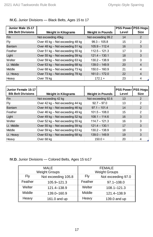| Junior Male 15-17         |                                  |                         | <b>PSS Power PSS Hogu</b> |                |
|---------------------------|----------------------------------|-------------------------|---------------------------|----------------|
| <b>Blk Belt Divisions</b> | <b>Weight in Kilograms</b>       | <b>Weight in Pounds</b> | Level                     | <b>Size</b>    |
| <b>Fin</b>                | Not exceeding 45kg               | Not exceeding 99.2      | 14                        | 2              |
| Fly                       | Over 45 kg - Not exceeding 48 kg | $99.3 - 105.8$          | 15                        | 2              |
| <b>Bantam</b>             | Over 48 kg - Not exceeding 51 kg | $105.9 - 112.4$         | 16                        | 3              |
| Feather                   | Over 51 kg - Not exceeding 55 kg | $1125 - 1213$           | 17                        | 3              |
| Light                     | Over 55 kg - Not exceeding 59 kg | $121.4 - 130.1$         | 18                        | 3              |
| Welter                    | Over 59 kg - Not exceeding 63 kg | $130.2 - 138.9$         | 19                        | 3              |
| Lt. Middle                | Over 63 kg - Not exceeding 68 kg | $139.0 - 149.9$         | 20                        | $\overline{4}$ |
| Middle                    | Over 68 kg - Not exceeding 73 kg | $150.0 - 160.9$         | 21                        | 4              |
| Lt. Heavy                 | Over 73 kg - Not exceeding 78 kg | $161.0 - 172.0$         | 22                        | $\overline{4}$ |
| Heavy                     | Over 78 kg                       | $172.1 +$               | 23                        | 4              |

#### **IV.C.** Junior Divisions — Black Belts, Ages 15 to 17

| Junior Female 15-17<br><b>Blk Belt Divisions</b> | <b>Weight in Kilograms</b>       | <b>Weight in Pounds</b> | <b>PSS Power PSS Hoque</b><br>Level | <b>Size</b>    |
|--------------------------------------------------|----------------------------------|-------------------------|-------------------------------------|----------------|
| Fin                                              | Not exceeding 42 kg              | Not exceeding 92.6      | 13                                  | 2              |
| Fly                                              | Over 42 kg - Not exceeding 44 kg | $92.7 - 97.0$           | 13                                  | 2              |
| <b>Bantam</b>                                    | Over 44 kg - Not exceeding 46 kg | $97.1 - 101.4$          | 14                                  | 2              |
| Feather                                          | Over 46 kg - Not exceeding 49 kg | $101.5 - 108.0$         | 15                                  | $\overline{2}$ |
| Light                                            | Over 49 kg - Not exceeding 52 kg | $108.1 - 114.6$         | 16                                  | 3              |
| Welter                                           | Over 52 kg - Not exceeding 55 kg | $114.7 - 121.3$         | 16                                  | 3              |
| Lt. Middle                                       | Over 55 kg - Not exceeding 59 kg | $121.4 - 130.1$         | 17                                  | 3              |
| Middle                                           | Over 59 kg - Not exceeding 63 kg | $130.2 - 138.9$         | 18                                  | 3              |
| Lt. Heavy                                        | Over 63 kg - Not exceeding 68 kg | $139.0 - 149.9$         | 19                                  | 3              |
| Heavy                                            | Over 68 ka                       | $150.0 +$               | 20                                  | 4              |

**IV.D.** Junior Divisions — Colored Belts, Ages 15 to17

|         | MAI F<br><b>Weight Groups</b> | <b>FEMALE</b><br><b>Weight Groups</b> |                    |  |
|---------|-------------------------------|---------------------------------------|--------------------|--|
| Fly     | Not exceeding 105.8           | Fly                                   | Not exceeding 97.0 |  |
| Feather | 105.9-121.3                   | Feather                               | $97.1 - 108.0$     |  |
| Welter  | 121.4-138.9                   | Welter                                | $108.1 - 121.3$    |  |
| Middle  | 139.0-160.9                   | Middle                                | 121.4-138.9        |  |
| Heavy   | 161.0 and up                  | Heavy                                 | 139.0 and up       |  |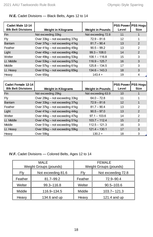| Cadet Male 12-14<br><b>Blk Belt Divisions</b> | <b>Weight in Kilograms</b>     | <b>Weight in Pounds</b> | <b>PSS Power PSS Hoque</b><br>Level | <b>Size</b>    |
|-----------------------------------------------|--------------------------------|-------------------------|-------------------------------------|----------------|
| <b>Fin</b>                                    | Not exceeding 33kg             | Not exceeding 72.8      | 11                                  | 1              |
| Fly                                           | Over 33kg - not exceeding 37kg | $72.9 - 81.6$           | 12                                  | 1              |
| Bantam                                        | Over 37kg - not exceeding 41kg | $81.7 - 90.4$           | 13                                  | 2              |
| Feather                                       | Over 41kg - not exceeding 45kg | $90.5 - 99.2$           | 13                                  | $\mathfrak{p}$ |
| Light                                         | Over 45kg - not exceeding 49kg | $99.3 - 108.0$          | 14                                  | $\overline{2}$ |
| Welter                                        | Over 49kg - not exceeding 53kg | $108.1 - 116.8$         | 15                                  | 3              |
| Lt. Middle                                    | Over 53kg - not exceeding 57kg | $116.9 - 125.7$         | 16                                  | 3              |
| Middle                                        | Over 57kg - not exceeding 61kg | $125.8 - 134.5$         | 17                                  | 3              |
| Lt. Heavy                                     | Over 61kg - not exceeding 65kg | $134.6 - 143.3$         | 18                                  | 3              |
| Heavy                                         | Over 65kg                      | $143.4 +$               | 19                                  | 4              |
|                                               |                                |                         |                                     |                |
| Cadet Female 12-14                            |                                |                         | <b>PSS Power PSS Hoque</b>          |                |
| <b>Blk Belt Divisions</b>                     | <b>Weight in Kilograms</b>     | <b>Weight in Pounds</b> | Level                               | <b>Size</b>    |
| <b>Fin</b>                                    | Not exceeding 29kg             | Not exceeding 63.9      | 10                                  | $\mathbf{1}$   |
| Fly                                           | Over 29kg - not exceeding 33kg | $64.0 - 72.8$           | 11                                  | 1              |
| Bantam                                        | Over 33kg - not exceeding 37kg | $72.9 - 81.6$           | 12                                  | $\mathbf{1}$   |
| Feather                                       |                                |                         |                                     |                |
|                                               | Over 37kg - not exceeding 41kg | $81.7 - 90.4$           | 13                                  | $\overline{2}$ |
|                                               | Over 41kg - not exceeding 44kg | $90.5 - 97.0$           | 13                                  | 2              |
| Light<br>Welter                               | Over 44kg - not exceeding 47kg | $97.1 - 103.6$          | 14                                  | $\overline{2}$ |
| Lt. Middle                                    | Over 47kg - not exceeding 51kg | $103.7 - 112.4$         | 15                                  | 2              |
| Middle                                        | Over 51kg - not exceeding 55kg | $112.5 - 121.3$         | 16                                  | 3              |
| Lt. Heavy                                     | Over 55kg - not exceeding 59kg | $121.4 - 130.1$         | 17                                  | 3              |

**IV.E.** Cadet Divisions — Black Belts, Ages 12 to 14

**IV.F.** Cadet Divisions — Colored Belts, Ages 12 to 14

| MAI F<br>Weight Groups (pounds) |                    | <b>FEMALE</b><br>Weight Groups (pounds) |                    |  |
|---------------------------------|--------------------|-----------------------------------------|--------------------|--|
| Flv                             | Not exceeding 81.6 | Flv                                     | Not exceeding 72.8 |  |
| Feather                         | 81.7-99.2          | Feather                                 | 72.9-90.4          |  |
| Welter                          | 99.3-116.8         | Welter                                  | $90.5 - 103.6$     |  |
| Middle                          | 116.9-134.5        | Middle                                  | $103.7 - 121.3$    |  |
| Heavy                           | 134.6 and up       | Heavy                                   | 121.4 and $up$     |  |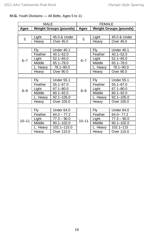| <b>MALE</b> |          | <b>FEMALE</b>                 |           |                               |                   |  |
|-------------|----------|-------------------------------|-----------|-------------------------------|-------------------|--|
| Ages        |          | <b>Weight Groups (pounds)</b> | Ages      | <b>Weight Groups (pounds)</b> |                   |  |
|             |          |                               |           |                               |                   |  |
| 5           | Light    | 45.0 & Under                  | 5         | Light                         | 45.0 & Under      |  |
|             | Heavy    | Over 45.0                     |           | Heavy                         | Over 45.0         |  |
|             |          |                               |           |                               |                   |  |
| $6 - 7$     | Fly      | Under 40.1                    |           | Fly                           | Under 40.1        |  |
|             | Feather  | $40.1 - 52.0$                 |           | Feather                       | $40.1 - 52.0$     |  |
|             | Light    | $52.1 - 65.0$                 | $6 - 7$   | Light                         | $52.1 - 65.0$     |  |
|             | Middle   | 65.1-78.0                     |           | Middle                        | $65.1 - 78.0$     |  |
|             | L. Heavy | 78.1-90.0                     |           | L. Heavy                      | 78.1-90.0         |  |
|             | Heavy    | Over 90.0                     |           | Heavy                         | Over 90.0         |  |
|             |          |                               |           |                               |                   |  |
|             | Fly      | <b>Under 55.1</b>             | $8 - 9$   | Fly                           | <b>Under 55.1</b> |  |
|             | Feather  | 55.1-67.0                     |           | Feather                       | $55.1 - 67.0$     |  |
| $8 - 9$     | Light    | 67.1-80.0                     |           | Light                         | 67.1-80.0         |  |
|             | Middle   | $80.1 - 92.0$                 |           | Middle                        | $80.1 - 92.0$     |  |
|             | L. Heavy | $92.1 - 105.0$                |           | L. Heavy                      | $92.1 - 105.0$    |  |
|             | Heavy    | Over 105.0                    |           | Heavy                         | Over 105.0        |  |
|             |          |                               |           |                               |                   |  |
|             | Fly      | Under 64.0                    |           | Fly                           | Under 64.0        |  |
| $10 - 11$   | Feather  | $64.0 - 77.2$                 | $10 - 11$ | Feather                       | $64.0 - 77.2$     |  |
|             | Light    | $77.3 - 90.0$                 |           | Light                         | $77.3 - 90.0$     |  |
|             | Middle   | $90.1 - 102.0$                |           | Middle                        | $90.1 - 102.0$    |  |
|             | L. Heavy | 102.1-115.0                   |           | L. Heavy                      | $102.1 - 115$     |  |
|             | Heavy    | Over 115.0                    |           | Heavy                         | Over 115.0        |  |

#### **IV.G.** Youth Divisions — All Belts, Ages 5 to 11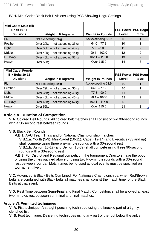| Mini Cadet Male Blk      |                                |                         |                           |               |
|--------------------------|--------------------------------|-------------------------|---------------------------|---------------|
| <b>Belts 10-11</b>       |                                |                         | <b>PSS Power PSS Hoqu</b> |               |
| <b>Divisions</b>         | <b>Weight in Kilograms</b>     | <b>Weight in Pounds</b> | Level                     | <b>Size</b>   |
| <b>Fly</b>               | Not exceeding 29kg             | Not exceeding 63.9      | 10                        | 1             |
| Feather                  | Over 29kg – not exceeding 35kg | $64.0 - 77.2$           | 10                        | 1             |
| Light                    | Over 35kg - not exceeding 40kg | $77.3 - 90.0$           | 11                        | 2             |
| Middle                   | Over 40kg - not exceeding 46kg | $90.1 - 102.0$          | 12                        | 2             |
| L. Heavy                 | Over 46kg - not exceeding 52kg | $102.1 - 115.0$         | 13                        | 2             |
| Heavy                    | Over 52kg                      | Over 115.0              | 14                        | 3             |
|                          |                                |                         |                           |               |
| <b>Mini Cadet Female</b> |                                |                         |                           |               |
| <b>Blk Belts 10-11</b>   |                                |                         | PSS Power PSS Hogu        |               |
| <b>Divisions</b>         | Weight in Kilograms            | <b>Weight in Pounds</b> | Level                     | <b>Size</b>   |
| <b>Fly</b>               | Not exceeding 29kg             | Not exceeding 63.9      | 10                        | 1             |
| Feather                  | Over 29kg – not exceeding 35kg | $64.0 - 77.2$           | 10                        | 1             |
| Light                    | Over 35kg – not exceeding 40kg | $77.3 - 90.0$           | 11                        | $\mathcal{P}$ |
| Middle                   | Over 40kg - not exceeding 46kg | $90.1 - 102.0$          | 12                        | 2             |
| L. Heavy                 | Over 46kg - not exceeding 52kg | $102.1 - 115.0$         | 13                        | $\mathcal{P}$ |
| Heavy                    | Over 52kg                      | Over 115.0              | 14                        | 3             |

#### **IV.H.** Mini Cadet Black Belt Divisions Using PSS Showing Hogu Settings

#### **Article V. Duration of Competition**

**V.A.** Colored Belt Rounds. All colored belt matches shall consist of two 90-second rounds with a 30-second rest between rounds.

#### **V.B.** Black Belt Rounds

**V.B.1.** AAU Team Trials and/or National Championship matches **V.B.1.a**. Youth (5-9), Mini-Cadet (10-11), Cadet (12-14) and Executive (33 and up) shall compete using three one-minute rounds with a 30-second rest **V.B.1.b.** Junior (15-17) and Senior (18-32) shall compete using three 90-second rounds with a 30-second rest

**V.B.3.** For District and Regional competition, the tournament Directors have the option of using the times outlined above or using two two-minute rounds with a 30-second rest between rounds. Match times being used at local events must be specified on tournament flyer.

**V.C.** Advanced & Black Belts Combined. For Nationals Championships, when Red/Brown belts are combined with Black belts all matches shall consist the match time for the Black Belts at that event.

**V.D.** Rest Time between Semi-Final and Final Match. Competitors shall be allowed at least two-minutes rest between semi-final and final matches.

#### **Article VI. Permitted techniques**

**VI.A.** Fist technique: A straight punching technique using the knuckle part of a tightly clenched fist

**VI.B.** Foot technique: Delivering techniques using any part of the foot below the ankle.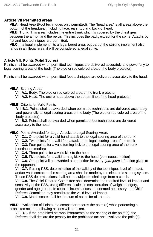#### **Article VII Permitted areas**

**VII.A.** Head Area (Foot techniques only permitted)*.* The "head area" is all areas above the bottom of the headgear, including face, ears, top and back of head.

**VII.B.** Trunk. This area includes the entire trunk which is covered by the chest gear between the armpit and the pelvis. This includes the back, except for the spine. Attacks by fist and foot techniques are permitted.

**VII.C.** If a legal implement hits a legal target area, but part of the striking implement also lands in an illegal area, it will be considered a legal strike.

#### **Article VIII. Points (Valid Scores)**

Points shall be awarded when permitted techniques are delivered accurately and powerfully to legal scoring areas of the body (The blue or red colored area of the body protector).

Points shall be awarded when permitted foot techniques are delivered accurately to the head.

#### **VIII.A.** Scoring Areas

**VIII.A.1.** Body: The blue or red colored area of the trunk protector **VIII.A.2.** Head: The entire head above the bottom line of the head protector

#### **VIII.B.** Criteria for Valid Points

**VIII.B.1.** Points shall be awarded when permitted techniques are delivered accurately and powerfully to legal scoring areas of the body (The blue or red colored area of the body protector).

**VIII.B.2**. Points shall be awarded when permitted foot techniques are delivered accurately to the head.

**VIII.C**. Points Awarded for Legal Attacks to Legal Scoring Areas:

**VIII.C.1.** One point for a valid hand attack to the legal scoring area of the trunk **VIII.C.2.** Two points for a valid foot attack to the legal scoring area of the trunk **VIII.C.3.** Four points for a valid turning kick to the legal scoring area of the trunk (continuous motion)

**VIII.C.4.** Three points for a valid kick to the head

**VIII.C.5.** Five points for a valid turning kick to the head (continuous motion)

**VIII.C.6**. One point will be awarded a competitor for every *gam-jeom* infraction given to the opponent.

**VIII.C.7.** If using PSS, determination of the validity of the technique, level of impact, and/or valid contact to the scoring area shall be made by the electronic scoring system. These PSS determinations shall not be subject to challenge from a coach.

**VIII.C.8.** The Chief Referee Committee shall determine the required level of impact and sensitivity of the PSS, using different scales in consideration of weight category, gender and age groups. In certain circumstances, as deemed necessary, the Chief

Referee Committee may recalibrate the valid level of impact.

**VIII.C.9.** Match score shall be the sum of points for all rounds.

**VIII.D.** Invalidation of Points. If a competitor records the point (s) while performing a prohibited act, the following actions will be taken.

**VIII.D.1.** If the prohibited act was instrumental to the scoring of the point(s), the Referee shall declare the penalty for the prohibited act and invalidate the point(s).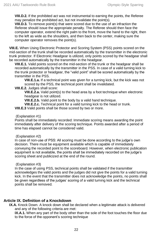**VIII.D.2.** If the prohibited act was not instrumental to earning the points, the Referee may penalize the prohibited act, but not invalidate the point(s).

**VIII.D.3.** To remove point(s) that were scored due to the use of an infraction the Referee should issue the appropriate penalty. The Referee should then face the computer operator, extend the right palm to the front, move the hand to the right, then to the left as wide as the shoulders, and then back to the center, making sure the computer operator removes the point(s).

**VIII.E.** When Using Electronic Protector and Scoring System (PSS) points scored on the mid-section of the trunk shall be recorded automatically by the transmitter in the electronic trunk protector. If Electronic Headgear is utilized, only points scored by the headgear shall be recorded automatically by the transmitter in the headgear.

**VIII.E.1.** Valid points scored on the mid-section of the trunk or the headgear shall be recorded automatically by the transmitter in the PSS. In case of a valid turning kick to the trunk protector or headgear, the "valid point" shall be scored automatically by the transmitter in the PSS.

**VIII.E.1.a.** If a technical point was given for a turning kick, but the kick was not scored by the PSS, the technical point shall be invalidated.

**VIII.E.2.** Judges shall score:

**VIII.E.2.a.** Valid point(s) to the head area by a foot technique when electronic headgear is not utilized.

**VIII.E.2.b.** Valid point to the body by a valid hand technique.

**VIII.E.2.c.** Technical point for a valid turning kick to the head or trunk.

**VIII.E.3** Valid points shall be those scored by two or more.

#### (Explanation #1)

Points shall be immediately recorded: Immediate scoring means awarding the point immediately after delivery of the scoring technique. Points awarded after a period of time has elapsed cannot be considered valid.

#### (Explanation #2)

In case of non-use of PSS: All scoring must be done according to the judge's own decision. There must be equipment available which is capable of immediately conveying the recorded point to the scoreboard. However, when electronic publication equipment is not available, the points shall be immediately recorded on the judge's scoring sheet and publicized at the end of the round.

#### (Explanation #3)

In the case of using PSS, technical points shall be validated if the transmitter acknowledges the valid points and the judges did not give the points for a valid turning kick. In the event that the transmitter does not acknowledge the points, no points shall be given regardless of the judges' scoring of a valid turning kick and the technical points shall be removed.

#### **Article IX. Definition of a Knockdown**

**IX.A.** Knock Down. A knock down shall be declared when a legitimate attack is delivered and any of the following criteria are met:

**IX.A.1.** When any part of the body other than the sole of the foot touches the floor due to the force of the opponent's scoring technique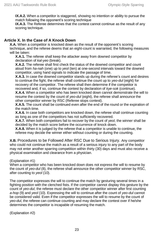**IX.A.2.** When a competitor is staggered, showing no intention or ability to pursue the match following the opponent's scoring technique

**IX.A.3.** The Referee determines that the contest cannot continue as the result of any scoring technique.

#### **Article X. In the Case of A Knock Down**

**X.A.** When a competitor is knocked down as the result of the opponent's scoring technique, and the referee deems that an eight-count is warranted, the following measures will be taken:

**X.A.1.** The referee shall keep the attacker away from downed competitor by declaration of *kal-yeo* (break).

**X.A.2.** The referee shall first check the status of the downed competitor and count aloud from *ha-nah* (one) up to *yeol* (ten) at one-second intervals toward the downed competitor, using hand signals to indicate the passage of time.

**X.A.3.** In case the downed competitor stands up during the referee's count and desires to continue the fight, the referee shall continue the count up to *yeo-dul* (eight) for recovery of the competitor. The referee shall then determine if the competitor is recovered and, if so, continue the contest by declaration of *kye-sok* (continue).

**X.A.4.** When a competitor who has been knocked down cannot demonstrate the will to resume the contest by the count of *yeo-dul* (eight), the referee shall announce the other competitor winner by RSC (Referee stops contest).

**X.A.5.** The count shall be continued even after the end of the round or the expiration of the match time.

**X.A.6.** In case both competitors are knocked down, the referee shall continue counting as long as one of the competitors has not sufficiently recovered.

**X.A.7.** When both competitors fail to recover by the count of *yeol*, the winner shall be decided by the match score before the occurrence of knock down.

**X.A.8.** When it is judged by the referee that a competitor is unable to continue, the referee may decide the winner either without counting or during the counting.

**X.B.** Procedures to be Followed After RSC Due to Serious Injury. Any competitor who could not continue the match as a result of a serious injury to any part of the body may not enter another sparring competition within thirty (30) days and must also receive a physical examination and clearance from a physician.

(Explanation #1)

When a competitor who has been knocked down does not express the will to resume by the count of *yeo-dul* (8), the referee shall announce the other competitor winner by RSC, after counting to *yeol* (10).

The competitor expresses the will to continue the match by gesturing several times in a fighting position with the clenched fists. If the competitor cannot display this gesture by the count of *yeo-dul*, the referee must declare the other competitor winner after first counting *a-hop* (9) and *yeol* (10). Expressing the will to continue after the count of *yeo-dul* cannot be considered valid. Even if the competitor expresses the will to resume by the count of *yeo-dul*, the referee can continue counting and may declare the contest over if he/she determines the competitor is incapable of resuming the match.

(Explanation #2)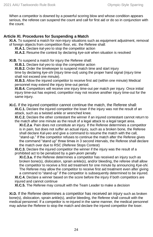When a competitor is downed by a powerful scoring blow and whose condition appears serious, the referee can suspend the count and call for first aid or do so in conjunction with the count.

#### **Article XI. Procedures for Suspending a Match**

**XI.A.** To suspend a match for non-injury situations such as equipment adjustment, removal of foreign objects from competition floor, etc. the Referee shall:

**XI.A.1.** Declare *kal-yeo* to stop the competitor action

**XI.A.2.** Resume the contest by declaring *kye-sok* when situation is resolved

**XI.B.** To suspend a match for injury the Referee shall:

**XI.B.1.** Declare *kal-yeo* to stop the competitor action

**XI.B.2.** Order the timekeeper to suspend match time and start injury

time by declaring *kye-shi* (injury time-out) using the proper hand signal (injury time shall not exceed one minute).

**XI.B.3.** Allow the injured competitor to receive first aid (within one minute) Medical personnel may extend the injury time-out period.

**XI.B.4.** Competitors will receive one injury time-out per match per injury. Once initial injury time-out has expired, competitor may not receive another injury time-out for the same injury.

**XI.C.** If the injured competitor cannot continue the match, the Referee shall: **XI.C.1.** Declare the injured competitor the loser if the injury was not the result of an attack, such as a twisted ankle or wrenched knee.

**XI.C.2.** Declare the other contestant the winner if an injured contestant cannot return to the match after one minute as the result of a legal attack to a legal target area.

**XI.C.2.a**. Pain does not constitute an injury. If the Referee determines a competitor is in pain, but does not suffer an actual injury, such as a broken bone, the Referee shall declare *Kal-yeo* and give a command to resume the match with the call, "stand-up." If the competitor refuses to continue the match after the Referee gives the command "stand up" three times in 3 second intervals, the Referee shall declare the match over due to RSC (Referee Stops Contest)

**XI.C.3.** Declare the injured competitor the winner if the injury was the result of a prohibited act to be penalized by a *gam-jeom* penalty

**XI.C.3.a.** If the Referee determines a competitor has received an injury such as broken bone(s), dislocation, sprain ankle(s), and/or bleeding, the referee shall allow the competitor to receive a first aid treatment for one minute by announcing *Kye-shi.* The Referee may allow the competitor to receive first aid treatment even after giving a command to "stand-up" if the competitor is subsequently determined to be injured.

**XI.C.4.** Declare a winner based on the score before the injury if both competitors are injured and cannot continue

**XI.C.5.** The Referee may consult with the Team Leader to make a decision

**XI.D.** If the Referee determines a competitor has received an injury such as broken bone(s), dislocation, sprain ankle(s), and/or bleeding, the Referee shall consult with the medical personnel. If a competitor is re-injured in the same manner, the medical personnel may advise the Referee to stop the match and declare the injured competitor the loser.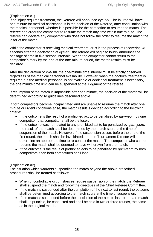#### (Explanation #1)

If an injury requires treatment, the Referee will announce *kye-shi*. The injured will have one minute for medical assistance. It is the decision of the Referee, after consultation with the medical personnel, whether it is possible for the competitor to resume the match. The referee can order the competitor to resume the match any time within one minute. The referee can declare any competitor who does not follow the order to resume the match the loser of the match.

While the competitor is receiving medical treatment, or is in the process of recovering, 40 seconds after the declaration of *kye-shi*, the referee will begin to loudly announce the passage of time in five second intervals. When the competitor cannot return to the competitor's mark by the end of the one-minute period, the match results must be declared.

After the declaration of *kye-shi*, the one-minute time interval must be strictly observed regardless of the medical personnel availability. However, when the doctor's treatment is required but the medical personnel is not available or additional treatment is necessary, the one minute time limit can be suspended at the judgment of the referee.

If resumption of the match is impossible after one minute, the decision of the match will be determined according to guidelines described above.

If both competitors become incapacitated and are unable to resume the match after one minute or urgent conditions arise, the match result is decided according to the following criteria:

- If the outcome is the result of a prohibited act to be penalized by *gam-jeom* by one competitor, that competitor shall be the loser.
- If the outcome was not related to any prohibited act to be penalized by *gam-jeom*, the result of the match shall be determined by the match score at the time of suspension of the match. However, if the suspension occurs before the end of the first round, the match shall be invalidated, and the Tournament Director will determine an appropriate time to re-contest the match. The competitor who cannot resume the match shall be deemed to have withdrawn from the match.
- If the outcome is the result of prohibited acts to be penalized by *gam-jeom* by both competitors, then both competitors shall lose.

#### (Explanation #2)

The situation which warrants suspending the match beyond the above prescribed procedures shall be treated as follows:

- When uncontrollable circumstances require suspension of the match, the Referee shall suspend the match and follow the directives of the Chief Referee Committee.
- If the match is suspended after the completion of the next to last round, the outcome shall be determined according to the match score at the time of suspension.
- If the match is suspended before the conclusion of the next to last round, a rematch shall, in principle, be conducted and shall be held in two or three rounds, the same as in the original match.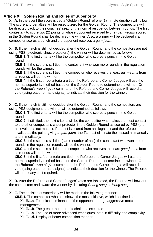#### **Article XII. Golden Round and Rules of Superiority**

**XII.A.** In the event the score is tied a "Golden Round" of one (1) minute duration will follow. The score and penalties will be reset to zero for the Golden Round. The competitors will be directed back to their coaches' seat for the normal rest period between rounds. The first contestant to score two (2) points or whose opponent received two (2) *gam-jeoms* scored in the Golden Round shall be declared the winner. Also, a winner will be declared if a competitor scores a punch and the opponent receives a *gam-jeom*.

**XII.B.** If the match is still not decided after the Golden Round, and the competitors are not using PSS (electronic chest protectors), the winner will be determined as follows:

**XII.B.1.** The first criteria will be the competitor who scores a punch in the Golden round.

**XII.B.2.** If the score is still tied, the contestant who won more rounds in the regulation rounds will be the winner.

**XII.B.3.** If the score is still tied, the competitor who receives the least *gam-jeoms* from all rounds will be the winner.

**XII.B.4.** If the first three criteria are tied, the Referee and Corner Judges will use the normal superiority method based on the Golden Round to determine the winner. On the Referee's *woo-si-girok* command, the Referee and Corner Judges will record a vote (using paper or hand signal) to indicate their decision for the winner.

**XII.C.** If the match is still not decided after the Golden Round, and the competitors are using PSS equipment, the winner will be determined as follows:

**XII.C.1.** The first criteria will be the competitor who scores a punch in the Golden round.

**XII.C.2.** If still tied, the next criteria will be the competitor who makes the most contact to the other competitor's chest protector in the Golden Round as scored by PSS (the hit level does not matter). If a point is scored from an illegal act and the referee invalidates the point, giving a *gam-jeom,* the TL must eliminate the missed hit manually and immediately.

**XII.C.3.** If the score is still tied (same number of hits), the contestant who won more rounds in the regulation rounds will be the winner.

**XII.C.4.** If the score is still tied, the competitor who receives the least *gam-jeoms* from all rounds will be the winner.

**XII.C.5.** If the first four criteria are tied, the Referee and Corner Judges will use the normal superiority method based on the Golden Round to determine the winner. On the Referee's *woo-si-girok* command, the Referee and Corner Judges will record a vote (using paper or hand signal) to indicate their decision for the winner. The Referee will break any tie if required.

**XII.D.** After the Referee and Corner Judges' votes are tabulated, the Referee will bow out the competitors and award the winner by declaring *Chung sung* or *Hong sung*.

**XII.E.** The decision of superiority will be made in the following manner:

**XII.E.1.** The competitor who has shown the most initiative, which is defined as: **XII.E.1.a.** Technical dominance of the opponent through aggressive match management

**XII.E.1.b**. The greater number of techniques executed

**XII.E.1.c.** The use of more advanced techniques, both in difficulty and complexity **XII.E.1.d.** Display of better competition manner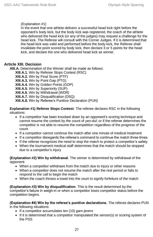#### (Explanation #1)

In the event that one athlete delivers a successful head kick right before the opponent's body kick, but the body kick was registered, the coach of the athlete who delivered the head kick (or any of the judges) may request a challenge for the head kick. The Referee will consult with the Corner Judges. If it is determined that the head kick was valid and performed before the body kick, the Referee shall invalidate the point scored by body kick, then declare 3 or 5 points for the head kick, and declare the one who delivered head kick as winner.

#### **Article XIII. Decision**

**XIII.A.** Determination of the Winner shall be made as follows:

**XIII.A.1.** Win by Referee Stops Contest (RSC) **XIII.A.2.** Win by Final Score (PTF)

**XIII.A.3.** Win by Point Gap (PTG)

**XIII.A.4.** Win by Golden Points (GDP)

**XIII.A.5.** Win by Superiority (SUP)

**XIII.A.6.** Win by Withdrawal (WDR)

**XIII.A.7.** Win by Disqualification (DSQ)

**XIII.A.8.** Win by Referee's Punitive Declaration (PUN)

**Explanation #1) Referee Stops Contest**. The referee declares RSC in the following situations:

- If a competitor has been knocked down by an opponent's scoring technique and cannot resume the contest by the count of *yeo-dul*; or if the referee determines the competitor is not able to resume the competition regardless of the progress of the count
- If a competitor cannot continue the match after one minute of medical treatment
- If a competitor disregards the referee's command to continue the match three times
- If the referee recognizes the need to stop the match to protect a competitor's safety
- When the tournament medical staff determines that the match should be stopped due to a competitor's injury

**(Explanation #2) Win by withdrawal**. The winner is determined by withdrawal of the opponent:

- When a competitor withdraws from the match due to injury or other reasons
- When a competitor does not resume the match after the rest period or fails to respond to the call to begin the match
- When the coach throws a towel into the court to signify forfeiture of the match

**(Explanation #3) Win by disqualification**. This is the result determined by the competitor's failure in weigh-in or when a competitor loses competitor status before the competition begins.

**(Explanation #4) Win by the referee's punitive declarations.** The referee declares PUN in the following situations:

- If a competitor accumulates ten (10) *gam-jeoms*
- If it is determined that a competitor manipulated the sensor(s) or scoring system of the PSS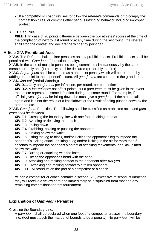• If a competitor or coach refuses to follow the referee's commands or to comply the competition rules, or commits other serious infringing behavior including improper protest

#### **XIII.B.** Gap Rule

**XIII.B.1.** In case of 20 points difference between the two athletes' scores at the time of the completion of next to last round or at any time during the last round, the referee shall stop the contest and declare the winner by point gap.

#### **Article XIV. Prohibited Acts**

**XIV.A.** The Referee shall declare penalties on any prohibited acts. Prohibited acts shall be penalized with *Gam-jeom* (deduction penalty).

**XIV.B.** In the case of multiple penalties being committed simultaneously by the same competitor, only one (1) penalty shall be declared (preferably the first).

**XIV.C.** A *gam-jeom* shall be counted as a one point penalty which will be recorded by adding one point to the opponent's score. All *gam-jeoms* are counted in the grand total. **XIV.D.** *Joo-eui* (Verbal Warning)

**XIV.D.1.** Only one *joo-eui* per infraction, per round, per competitor

**XIV.D.2.** A *joo-eui* does not affect points, but a *gam-jeom* must be given in the event the athlete repeats the same infraction during the same round. For example, if an official gives a *joo-eui* for falling down, he must give a *gam-jeom* if the athlete falls again and it is not the result of a knockdown or the result of being pushed down by the other athlete.

**XIV.E.** *Gam-jeom* Penalties: The following shall be classified as prohibited acts, and *gamjeom shall be declared.*

**XIV.E.1.** Crossing the boundary line with one foot touching the mat

**XIV.E.2.** Avoiding or delaying the match

**XIV.E.3.** Falling down

**XIV.E.4.** Grabbing, holding or pushing the opponent

**XIV.E.5.** Kicking below the waist

**XIV.E.6.** Lifting the leg to block, and/or kicking the opponent's leg to impede the opponent's kicking attack, or lifting a leg and/or kicking in the air for more than 3 seconds to impede the opponent's potential attacking movements, or a kick aimed below the waist

**XIV.E.7.** Butting or attacking with the knee

**XIV.E.8.** Hitting the opponent's head with the hand

**XIV.E.9.** Attacking and making contact to the opponent after *Kal-yeo*

**XIV.E.10.** Attacking and making contact to a fallen opponent

**XIV.E.11.** \*Misconduct on the part of a competitor or a coach

\*When a competitor or coach commits a second  $(2^{nd})$  excessive misconduct infraction, they will receive a yellow card and immediately be disqualified from that and any remaining competitions for that tournament.

#### **Explanation of** *Gam-jeom Penalties*

Crossing the Boundary Line:

A *gam-jeom* shall be declared when one foot of a competitor crosses the boundary line. (foot must touch the mat out of bounds to be a penalty). No *gam-jeom* will be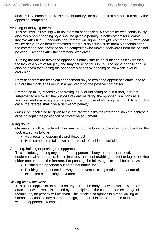declared if a competitor crosses the boundary line as a result of a prohibited act by the opposing competitor.

#### Avoiding or delaying the match:

This act involves stalling with no intention of attacking. A competitor who continuously displays a non-engaging style shall be given a penalty. If both competitors remain inactive after five (5) seconds, the Referee will signal the "fight" command. A *gam-jeom* will be declared on both competitors if there is no activity from them 5 seconds after the command was given; or on the competitor who moved backwards from the original position 5 seconds after the command was given.

Turning the back to avoid the opponent's attack should be punished as it expresses the lack of a spirit of fair play and may cause serious injury. The same penalty should also be given for evading the opponent's attack by bending below waist level or crouching.

Retreating from the technical engagement only to avoid the opponent's attack and to run out the clock, shall result in a *gam-jeom* for the passive competitor.

Pretending injury means exaggerating injury or indicating pain in a body part not subjected to a blow for the purpose of demonstrating the opponent's actions as a violation, and also exaggerating pain for the purpose of elapsing the match time. In this case, the referee shall give a *gam-jeom* penalty.

*Gam-jeom* shall also be given to the athlete who asks the referee to stop the contest in order to adjust the position/fit of protective equipment.

#### Falling down:

*Gam-jeom* shall be declared when any part of the body touches the floor other than the foot, except as follows:

- As a result of opponent's prohibited act
- Both competitors fall down as the result of incidental collision

Grabbing, holding or pushing the opponent:

This includes grabbing any part of the opponent's body, uniform or protective equipment with the hands. It also includes the act of grabbing the foot or leg or hooking either one on top of the forearm. For pushing, the following acts shall be penalized:

- Pushing the opponent out of the boundary line
- Pushing the opponent in a way that prevents kicking motion or any normal execution of attacking movement

Kicking below the waist:

This action applies to an attack on any part of the body below the waist. When an attack below the waist is caused by the recipient in the course of an exchange of techniques, no penalty will be given. This article also applies to strong kicking or stamping actions to any part of the thigh, knee or shin for the purpose of interfering with the opponent's technique.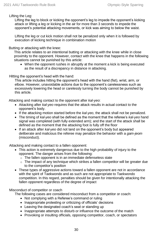Lifting the Leg:

Lifting the leg to block or kicking the opponent's leg to impede the opponent's kicking attack or lifting a leg or kicking in the air for more than 3 seconds to impede the opponent's potential attacking movements, or kick was aiming to below the waist.

Lifting the leg or cut kick motion shall not be penalized only when it is followed by execution of kicking technique in combination motion

Butting or attacking with the knee:

This article relates to an intentional butting or attacking with the knee while in close proximity to the opponent. However, contact with the knee that happens in the following situations cannot be punished by this article:

• When the opponent rushes in abruptly at the moment a kick is being executed as the result of a discrepancy in distance in attacking.

Hitting the opponent's head with the hand:

This article includes hitting the opponent's head with the hand (fist), wrist, arm, or elbow. However, unavoidable actions due to the opponent's carelessness such as excessively lowering the head or carelessly turning the body cannot be punished by this article.

Attacking and making contact to the opponent after *kal-yeo*:

- Attacking after *kal-yeo* requires that the attack results in actual contact to the opponent's body.
- If the attacking motion started before the *kal-yeo*, the attack shall not be penalized.
- The timing of *kal-yeo* shall be defined as the moment that the referee's *kal-yeo* hand signal was completed (with fully extended arm); and the start of the attack shall be defined as the moment that the attacking foot is fully off the floor
- If an attack after *kal-yeo* did not land on the opponent's body but appeared deliberate and malicious the referee may penalize the behavior with a *gam-jeom* (misconduct).

Attacking and making contact to a fallen opponent:

- This action is extremely dangerous due to the high probability of injury to the opponent. The danger arises from the following:
	- o The fallen opponent is in an immediate defenseless state
	- $\circ$  The impact of any technique which strikes a fallen competitor will be greater due to the competitor's position
- These types of aggressive actions toward a fallen opponent are not in accordance with the spirit of Taekwondo and as such are not appropriate to Taekwondo competition. In this regard, penalties should be given for intentionally attacking the fallen opponent regardless of the degree of impact

Misconduct of competitor or coach

The following cases are considered misconduct from a competitor or coach:

- Not complying with a Referee's command or ruling
- Inappropriate protesting or criticizing of officials' decisions
- Leaving the designated coach's seat or standing up
- Inappropriate attempts to disturb or influence the outcome of the match
- Provoking or insulting officials, opposing competitor, coach, or spectators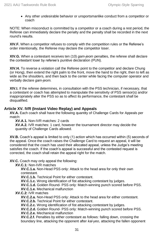• Any other undesirable behavior or unsportsmanlike conduct from a competitor or coach

NOTE: When misconduct is committed by a competitor or a coach during a rest period, the Referee can immediately declare the penalty and the penalty shall be recorded in the next round's results.

**XIV.F.** When a competitor refuses to comply with the competition rules or the Referee's order intentionally, the Referee may declare the competitor loser.

**XIV.G.** When a contestant receives ten (10) *gam-jeom* penalties, the referee shall declare the contestant loser by referee's punitive declaration (PUN).

**XIV.H.** To reverse a violation call the Referee point to the competitor and declare Chung (or Hong), then extend the right palm to the front, move the hand to the right, then to left as wide as the shoulders, and then back to the center while facing the computer operator and verbally declare *gam-jeom.*

**XIV.I.** If the referee determines, in consultation with the PSS technician, if necessary, that a contestant or coach has attempted to manipulate the sensitivity of PSS sensor(s) and/or inappropriately alter the PSS so as to affect its performance, the contestant shall be disqualified.

#### **Article XV. IVR (Instant Video Replay) and Appeals**

**XV.A.** Each coach shall have the following quantity of Challenge Cards for Appeals per match:

**XV.A.1.** Non-IVR matches: 2 cards

**XV.A.2.** IVR matches: 1 card, however the tournament director may decide the quantity of Challenge Cards allowed.

**XV.B.** Coach's appeal is limited to only (1) action which has occurred within (5) seconds of the appeal. Once the coach raises the Challenge Card to request an appeal, it will be considered that the coach has used their allocated appeal, unless the Judge's meeting satisfies the coach. If the coach's appeal is successful and the contested request is corrected, the coach shall retain the appeal right for the match.

**XV.C.** Coach may only appeal the following:

**XV.C.1:** Non-IVR matches

**XV.C.1.a.** Non-Head PSS only: Attack to the head area for only their own contestant.

**XV.C.1.b.** Technical Point for either contestant.

**XV.C.1.c.** Wrong identification of fist attacking contestant by judges.

**XV.C.1.d.** Golden Round- PSS only: Match-winning punch scored before PSS.

**XV.C.1.e.** Mechanical malfunction

**XV.C.2:** IVR matches

**XV.C.2.a.** Non-Head PSS only: Attack to the head area for either contestant.

**XV.C.2.b.** Technical Point for either contestant.

**XV.C.2.c.** Wrong identification of fist attacking contestant by judges.

**XV.C.2.d.** Golden Round- PSS only: Match-winning punch scored before PSS.

**XV.C.2.e.** Mechanical malfunction

**XV.C.2.f.** Penalties by either contestant as follows: falling down, crossing the boundary line, attacking the opponent after *kal-yeo*, attacking the fallen opponent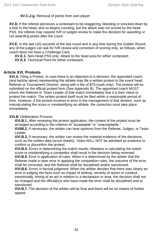#### **XV.C.2.g.** Removal of points from own player

**XV.D.** If the referee perceives a contestant to be staggering, bleeding or knocked down by a kick to the head, and so begins counting, but the attack was not scored by the head PSS, the referee may request IVR or judges review to make the decision for awarding or not awarding points after the count.

**XV.E.** In the last (10) seconds of the last round and in any time during the Golden Round, any of the judges can ask for IVR review and correction of scoring only, as follows, when coach does not have a Challenge Card.

**XV.E.1.** Non-Head PSS only: Attack to the head area for either contestant.

**XV.E.2.** Technical Point for either contestant.

#### **Article XVI. Protests**

**XVI.A.** Filing a Protest. In case there is an objection to a decision; the appointed coach (and he/she alone) representing the athlete may file a written protest to the event head Referee or Tournament Director, along with a fee of \$75 (cash only). The protest will be submitted on the official protest form (See Appendix B). The appointed coach MUST inform the Referee or Team Leader of that match immediately that it is their intent to protest the match. The written protest itself must be filed within a reasonable period of time. However, if the protest involves in error in the management of that division, such as miscalculating the score or misidentifying an athlete, the correction must take place immediately.

#### **XVI.B.** Deliberation Process

**XVI.B.1.** After reviewing the protest application, the content of the protest must be arranged according to the criterion of "acceptable" or "unacceptable."

**XVIIB.2.** If necessary, the arbiter can hear opinions from the Referee, Judges, or Team Leader.

**XVI.B.3.** If necessary, the arbiter can review the material evidence of the decisions, such as the written data (score sheets). Video WILL NOT be admitted as evidence to confirm or disconfirm the protest.

**XVI.B.4.** Errors in determining the match results: Mistakes in calculating the match score or misidentifying a competitor shall result in the decision being reversed.

**XVI.B.5.** Error in application of rules: When it is determined by the arbiter that the Referee made a clear error in applying the competition rules, the outcome of the error shall be corrected, and the Referee shall be disciplined and/or sanctioned.

**XVI.B.6.** Errors in factual judgment: When the arbiter decides that there was clearly an error in judging the facts such as impact of striking, severity of action or conduct, intentionally, timing of an act in relation to a declaration or area, the decision shall not be changed and the official(s)s who have made the error shall be disciplined and or sanctioned.

**XVI.B.7.** The decision of the arbiter will be final and there will be no means of further appeal.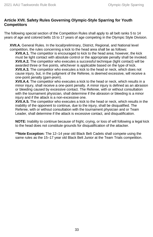#### **Article XVII. Safety Rules Governing Olympic-Style Sparring for Youth Competitors**

The following special section of the Competition Rules shall apply to all belt ranks 5 to 14 years of age and colored belts 15 to 17 years of age competing in the Olympic Style Division.

**XVII.A.** General Rules. In the local/preliminary, District, Regional, and National level competition, the rules concerning a kick to the head area shall be as follows:

**XVII.A.1.** The competitor is encouraged to kick to the head area; however, the kick must be light contact with absolute control or the appropriate penalty shall be invoked. **XVII.A.2.** The competitor who executes a successful technique (light contact) will be awarded three or five points, whichever is applicable based on the type of kick. **XVII.A.3.** The competitor who executes a kick to the head or neck, which does not cause injury, but, in the judgment of the Referee, is deemed excessive, will receive a one-point penalty (*gam-jeom*).

**XVII.A.4.** The competitor who executes a kick to the head or neck, which results in a minor injury, shall receive a one-point penalty. A minor injury is defined as an abrasion or bleeding caused by excessive contact. The Referee, with or without consultation with the tournament physician, shall determine if the abrasion or bleeding is a minor injury and if the attack is a non-excessive one.

**XVII.A.5.** The competitor who executes a kick to the head or neck, which results in the inability of the opponent to continue, due to the injury, shall be disqualified. The Referee, with or without consultation with the tournament physician and or Team Leader, shall determine if the attack is excessive contact, and disqualification.

**NOTE:** Inability to continue because of fright, crying, or loss of will following a legal kick to the head does not constitute grounds for disqualification of the attacker.

**\*\*Note Exception:** The 12–14 year old Black Belt Cadets shall compete using the same rules as the 15–17 year old Black Belt Junior at the Team Trials competition.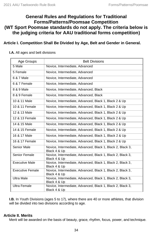### **General Rules and Regulations for Traditional Forms/Patterns/Poomsae Competition (WT Sport Poomsae standards do not apply. The criteria below is the judging criteria for AAU traditional forms competition)**

#### **Article I. Competition Shall Be Divided by Age, Belt and Gender in General.**

#### **I.A.** All ages and belt divisions

| Age Groups              | <b>Belt Divisions</b>                                                      |  |  |
|-------------------------|----------------------------------------------------------------------------|--|--|
| 5 Male                  | Novice, Intermediate, Advanced                                             |  |  |
| 5 Female                | Novice, Intermediate, Advanced                                             |  |  |
| 6 & 7 Male              | Novice, Intermediate, Advanced                                             |  |  |
| 6 & 7 Female            | Novice, Intermediate, Advanced                                             |  |  |
| 8 & 9 Male              | Novice, Intermediate, Advanced, Black                                      |  |  |
| 8 & 9 Female            | Novice, Intermediate, Advanced, Black                                      |  |  |
| 10 & 11 Male            | Novice, Intermediate, Advanced, Black 1, Black 2 & Up                      |  |  |
| 10 & 11 Female          | Novice, Intermediate, Advanced, Black 1, Black 2 & Up                      |  |  |
| 12 & 13 Male            | Novice, Intermediate, Advanced, Black 1, Black 2 & Up                      |  |  |
| 12 & 13 Female          | Novice, Intermediate, Advanced, Black 1, Black 2 & Up                      |  |  |
| 14 & 15 Male            | Novice, Intermediate, Advanced, Black 1, Black 2 & Up                      |  |  |
| 14 & 15 Female          | Novice, Intermediate, Advanced, Black 1, Black 2 & Up                      |  |  |
| 16 & 17 Male            | Novice, Intermediate, Advanced, Black 1, Black 2 & Up                      |  |  |
| 16 & 17 Female          | Novice, Intermediate, Advanced, Black 1, Black 2 & Up                      |  |  |
| Senior Male             | Novice, Intermediate, Advanced, Black 1, Black 2, Black 3,<br>Black 4 & Up |  |  |
| Senior Female           | Novice, Intermediate, Advanced, Black 1, Black 2, Black 3,<br>Black 4 & Up |  |  |
| <b>Executive Male</b>   | Novice, Intermediate, Advanced, Black 1, Black 2, Black 3,<br>Black 4 & Up |  |  |
| <b>Executive Female</b> | Novice, Intermediate, Advanced, Black 1, Black 2, Black 3,<br>Black 4 & Up |  |  |
| <b>Ultra Male</b>       | Novice, Intermediate, Advanced, Black 1, Black 2, Black 3,<br>Black 4 & Up |  |  |
| <b>Ultra Female</b>     | Novice, Intermediate, Advanced, Black 1, Black 2, Black 3,<br>Black 4 & Up |  |  |

**I.B.** In Youth Divisions (ages 5 to 17), where there are 40 or more athletes, that division will be divided into two divisions according to age.

#### **Article II. Merits**

Merit will be awarded on the basis of beauty, grace, rhythm, focus, power, and technique.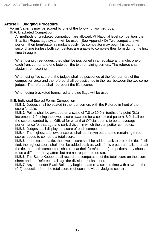#### **Article III. Judging Procedure.**

Forms/patterns may be scored by one of the following two methods.

**III.A.** Bracketed Competition

All methods of bracketed competition are allowed. At National level competition, the Brazilian Repechage system will be used. (See Appendix D) Two competitors will perform their form/pattern simultaneously. No competitor may begin his pattern a second time (unless both competitors are unable to complete their form during the first time through).

When using three judges, they shall be positioned in an equilateral triangle, one on each front corner and one between the two remaining corners. The referee shall abstain from scoring.

When using five scorers, the judges shall be positioned at the four corners of the competition area and the referee shall be positioned in the rear between the two corner judges. The referee shall represent the fifth scorer.

When doing bracketed forms, red and blue flags will be used.

#### **lll.B.** Individual Scored Forms Competition

**lll.B.1.** Judges shall be seated in the four corners with the Referee in front of the scorer's table.

**III.B.2.** Points shall be awarded on a scale of 7.0 to 10.0 in tenths of a point (0.1) increment, 7.0 being the lowest score awarded for a completed pattern. 8.0 shall be the score awarded by an Official for what that Official deems to be an average performance for that age and rank division in which the competitor competes.

**III.B.3.** Judges shall display the score of each competitor.

**III.B.4.** The highest and lowest scores shall be thrown out and the remaining three scores added to compute a total score.

**III.B.5.** In the case of a tie, the lowest score shall be added back to break the tie. If still tied, the highest score shall then be added back as well. If this procedure fails to break the tie, then both competitors shall repeat their form/pattern (competitors may choose to do a different form/pattern but are not required to do so).

**III.B.6.** The Score Keeper shall record the computation of the total score on the score sheet and the Referee shall sign the division results sheet.

**III.B.7.** Anyone under Black Belt may begin a pattern a second time with a two-tenths (0.2) deduction from the total score (not each individual Judge's score).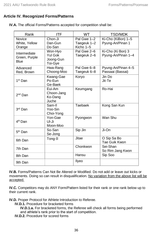#### **Article IV. Recognized Forms/Patterns**

| Rank                                         | <b>ITF</b>                                 | <b>WT</b>                               | <b>TSD/MDK</b>                          |
|----------------------------------------------|--------------------------------------------|-----------------------------------------|-----------------------------------------|
| <b>Novice</b><br>White, Yellow<br>Orange     | Chon-Ji<br>Dan-Gun<br>Do-San               | Pal Gwe 1-2<br>Taegeuk 1–2<br>Kicho 1-5 | Ki-Cho (KiBon) 1-5<br>Pyung-An/Pinan 1  |
| Intermediate<br>Green, Purple<br><b>Blue</b> | Won-Hvo<br>Yul Gok<br>Joong-Gun<br>Toi-Gye | Pal Gwe 2-6<br>Taegeuk 2–6              | Ki-Cho (Ki Bon) 3<br>Pyung-An/Pinan 1-4 |
| Advanced<br>Red, Brown                       | Hwa-Rang<br>Choong-Moo                     | Pal Gwe 6-8<br>Taegeuk 6-8              | Pyung-An/Pinan 4-5<br>Passaai (Bassai)  |
| 1st Dan                                      | Kwang-Gae<br>Po-Eun<br>Ge-Baek             | Koryo                                   | Jin Do<br>Jit-Te                        |
| $2nd$ Dan                                    | Eui-Am<br>Choon-Jang<br>Ko-Dang<br>Juche   | Keumgang                                | Ro-Hai                                  |
| 3rd Dan                                      | Sam-II<br>Yoo-Sin<br>Choi-Yong             | Taebaek                                 | Kong San Kun                            |
| 4 <sup>th</sup> Dan                          | Yon-Gae<br>UI-Ji<br>Moon-Moo               | Pyongwon                                | Wan Shu                                 |
| 5 <sup>th</sup> Dan                          | So-San<br>Se-Jong                          | Sip Jin                                 | Ji-On                                   |
| 6th Dan                                      | Tong-II                                    | Jitae                                   | O Sip Sa Bo<br>Tae Guik Kwon            |
| 7th Dan                                      |                                            | Chonkwon                                | Sei-Shan<br>So Rim Jang Kwon            |
| 8th Dan                                      |                                            | Hansu                                   | Sip Soo                                 |
| 9th Dan                                      |                                            | Ilyeo                                   |                                         |

**IV.A.** The official Forms/Patterns accepted for competition shall be:

**IV.B.** Forms/Patterns Can Not Be Altered or Modified. Do not add or leave out kicks or movements. Doing so can result in disqualification. No variation from the above list will be accepted.

**IV.C.** Competitors may do ANY Form/Pattern listed for their rank or one rank below up to their current rank.

**IV.D.** Proper Protocol for Athlete Introduction to Referee.

**IV.D.1.** Procedure for bracketed forms

**IV.D.1.a.** For bracketed forms, the Referee will check all forms being performed and athlete's rank prior to the start of competition.

**IV.D.2.** Procedure for scored forms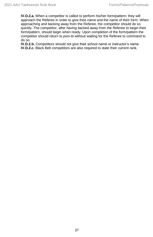**IV.D.2.a.** When a competitor is called to perform his/her form/pattern; they will approach the Referee in order to give their name and the name of their form. When approaching and backing away from the Referee, the competitor should do so quickly. The competitor, after having backed away from the Referee to begin their form/pattern, should begin when ready. Upon completion of the form/pattern the competitor should return to *joon-bi* without waiting for the Referee to command to do so.

**IV.D.2.b.** Competitors should not give their school name or instructor's name. **IV.D.2.c.** Black Belt competitors are also required to state their current rank.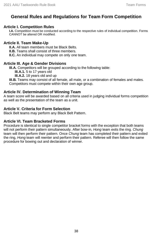# **General Rules and Regulations for Team Form Competition**

#### **Article I. Competition Rules**

**I.A.** Competition must be conducted according to the respective rules of individual competition. Forms CANNOT be altered OR modified.

#### **Article II. Team Make-Up**

**II.A.** All team members must be Black Belts.

**II.B.** Teams shall consist of three members.

**II.C.** An individual may compete on only one team.

#### **Article III. Age & Gender Divisions**

**III.A.** Competitors will be grouped according to the following table:

**III.A.1.** 5 to 17 years old

**III.A.2.** 18 years old and up

**III.B.** Teams may consist of all female, all male, or a combination of females and males. Competitors must compete within their own age group.

#### **Article IV. Determination of Winning Team**

A team score will be awarded based on all criteria used in judging individual forms competition as well as the presentation of the team as a unit.

#### **Article V. Criteria for Form Selection**

Black Belt teams may perform any Black Belt Pattern.

#### **Article VI. Team Bracketed Forms**

Procedure is identical to single competitor bracket forms with the exception that both teams will not perform their pattern simultaneously. After bow-in, *Hong* team exits the ring. *Chung* team will then perform their pattern. Once *Chung* team has completed their pattern and exited the ring, *Hong* team will reenter and perform their pattern. Referee will then follow the same procedure for bowing out and declaration of winner.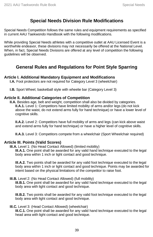# **Special Needs Division Rule Modifications**

Special Needs Competition follows the same rules and equipment requirements as specified in current AAU Taekwondo Handbook with the following modifications.

While providing Special Needs athletes with a competitive outlet at AAU Licensed Event is a worthwhile endeavor, these divisions may not necessarily be offered at the National Level. When, in fact, Special Needs Divisions are offered at any level of competition the following guidelines will be observed.

# **General Rules and Regulations for Point Style Sparring**

#### **Article I. Additional Mandatory Equipment and Modifications**

**I.A.** Foot protectors are not required for Category Level 3 (wheelchair)

**I.B.** Sport Wheel, basketball style with wheelie bar (Category Level 3)

#### **Article II. Additional Categories of Competition**

**II.A.** Besides age, belt and weight, competition shall also be divided by categories. **II.A.1.** Level 1: Competitors have limited mobility of arms and/or legs (do not kick above the waist, do not extend arms fully for hand technique) or have a lower level of cognitive skills.

**II.A.2.** Level 2: Competitors have full mobility of arms and legs (can kick above waist and extend arms fully for hand technique) or have a higher level of cognitive skills.

**II.A.3.** Level 3: Competitors compete from a wheelchair (Sport Wheelchair required)

#### **Article III. Points (Valid Scores)**

**III.A.** Level 1: (No Head Contact Allowed) (limited mobility)

**III.A.1.** One point shall be awarded for any valid hand technique executed to the legal body area within 1 inch or light contact and good technique.

**III.A.2.** Two points shall be awarded for any valid foot technique executed to the legal body area within 1 inch or light contact and good technique. Points may be awarded for intent based on the physical limitations of the competitor to raise foot.

#### **III.B.** Level 2: (No Head Contact Allowed) (full mobility)

**III.B.1.** One point shall be awarded for any valid hand technique executed to the legal body area with light contact and good technique.

**III.B.2.** Two points shall be awarded for any valid foot technique executed to the legal body area with light contact and good technique.

#### **III.C.** Level 3: (Head Contact Allowed) (wheelchair)

**III.C.1.** One point shall be awarded for any valid hand technique executed to the legal head area with light contact and good technique.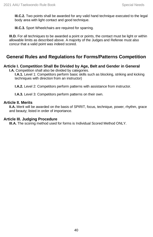**III.C.2.** Two points shall be awarded for any valid hand technique executed to the legal body area with light contact and good technique.

**III.C.3.** Sport Wheelchairs are required for sparring.

**III.D.** For all techniques to be awarded a point or points, the contact must be light or within allowable limits as described above. A majority of the Judges and Referee must also concur that a valid point was indeed scored.

# **General Rules and Regulations for Forms/Patterns Competition**

#### **Article I. Competition Shall Be Divided by Age, Belt and Gender in General**

**I.A.** Competition shall also be divided by categories.

**I.A.1.** Level 1: Competitors perform basic skills such as blocking, striking and kicking techniques with direction from an instructor)

**I.A.2.** Level 2: Competitors perform patterns with assistance from instructor.

**I.A.3.** Level 3: Competitors perform patterns on their own.

#### **Article II. Merits**

**II.A.** Merit will be awarded on the basis of SPIRIT, focus, technique, power, rhythm, grace and beauty; listed in order of importance.

#### **Article III. Judging Procedure**

**III.A.** The scoring method used for forms is Individual Scored Method ONLY.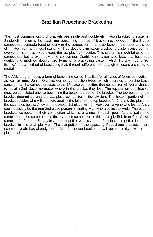L

# **Brazilian Repechage Bracketing**

The most common forms of brackets are single and double elimination bracketing systems. Single elimination is the least time consuming method of bracketing, however, if the 2 best competitors compete together early in the competition in a large bracket, the loser could be eliminated from any medal standing. True double elimination bracketing system ensures that everyone must lose twice except the 1st place competitor. This system is much fairer to the competitors but is extremely time consuming. Double elimination type brackets, both true double and modified double, are forms of a bracketing system which literally means "refishing." It is a method of bracketing that, through different methods, gives losers a chance to medal.

The AAU program uses a form of bracketing called Brazilian for all types of forms competition as well as most Junior Olympic Games competition types, which operates under the basic concept that if a competitor loses to the  $1<sup>st</sup>$  place competitor, that competitor will get a chance to reclaim 2nd place, no matter where in the bracket they lost. The top portion of a bracket must be completed prior to beginning the bottom portion of the bracket. The top portion of the bracket determines only the 1st place competitor in the division. The bottom portion of the bracket decides who will compete against the loser of the top bracket for 2nd and 3rd place. In the examples below, Andy is the obvious 1st place winner. However, anyone who lost to Andy could possibly be the true 2nd place person, including Matt who also lost to Andy. The bottom brackets compete to their completion which is a winner in each pool. At this point, the competitor in the same pool as the 1st place competitor, in this example Bob from Pool A, will compete for 2nd and 3rd against the competitor who lost to the 1st place competitor in the top bracket, in this example Matt. The competitor in the opposing Repechage bracket, in this example Noah, has already lost to Matt in the top bracket, so will automatically take the 4th place position.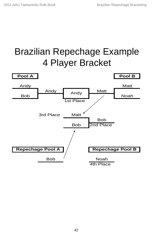# Brazilian Repechage Example 4 Player Bracket

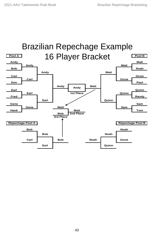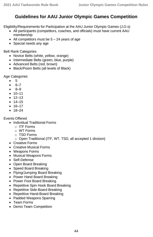# **Guidelines for AAU Junior Olympic Games Competition**

Eligibility/Requirements for Participation at the AAU Junior Olympic Games (J.O.s)

- All participants (competitors, coaches, and officials) must have current AAU membership
- All competitors must be  $5 24$  years of age
- Special needs any age

Belt Rank Categories

- Novice Belts (white, yellow, orange)
- Intermediate Belts (green, blue, purple)
- Advanced Belts (red, brown)
- Black/Poom Belts (all levels of Black)

Age Categories

- 5
- 6–7
- 8–9
- $10 11$
- $12 13$
- $14–15$
- 16–17
- 18–24

Events Offered

- Individual Traditional Forms
	- $\circ$  ITF Forms
	- o WT Forms
	- o TSD Forms
	- o Open Traditional (ITF, WT, TSD, all accepted 1 division)
- Creative Forms
- Creative Musical Forms
- Weapons Forms
- Musical Weapons Forms
- Self-Defense
- Open Board Breaking
- Speed Board Breaking
- Flying/Jumping Board Breaking
- Power Hand Board Breaking
- Power Foot Board Breaking
- Repetitive Spin Hook Board Breaking
- Repetitive Side-Board Breaking
- Repetitive Hand-Board Breaking
- Padded Weapons Sparring
- Team Forms
- Demo Team Competition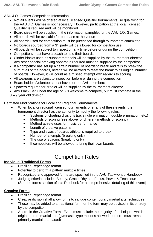AAU J.O. Games Competition Information

- Not all events will be offered at local licensed Qualifier tournaments, so qualifying for the AAU J.O. Games is not necessary. However, participation at the local licensed Qualifier is required and will be monitored
- Board sizes will be supplied in the information pamphlet for the AAU J.O. Games.
- All boards will be available for purchase at the venue
- All boards used for competition must be purchased through tournament committee
- No boards sourced from a  $3<sup>rd</sup>$  party will be allowed for competition use
- All boards will be subject to inspection any time before or during the competition
- Competitors must have a coach to hold their boards
- Cinder blocks used as support materials will be supplied by the tournament director. Any other special breaking apparatus required must be supplied by the competitor
- If a competitor has set up a certain number of boards to break and fails to break the sum of all of the boards, he/she will be allowed to reset the break to its original number of boards. However, it will count as a missed attempt with regards to scoring
- All weapons are subject to inspection before or during the competition
- Board holders/volunteers must have current AAU members
- Spacers required for breaks will be supplied by the tournament director
- Any Black Belt under the age of 8 is welcome to compete, but must compete in the
- 8 9 year old division.

Permitted Modifications for Local and Regional Tournaments

- When local or regional licensed tournaments offer any of these events, the tournament director has the authority to modify the following rules:
	- Systems of charting divisions (i.e. single elimination, double elimination, etc.)
	- **■** Methods of scoring (see above for different methods of scoring)
	- Method athlete uses for music performance
	- Length of creative patterns
	- Type and sizes of boards athlete is required to break
	- **Number of attempts (breaking only)**
	- **The use of spacers (breaking only)**
	- If competitors will be allowed to bring their own boards

# Competition Rules

#### **Individual Traditional Forms**

- Brazilian Repechage format
- Potential to perform a pattern multiple times
- Recognized and approved forms are specified in the AAU Taekwondo Handbook
- Judging criteria includes Beauty, Grace, Rhythm, Focus, Power & Technique (See the forms section of this Rulebook for a comprehensive detailing of this event)

#### **Creative Forms**

- Brazilian Repechage format
- Creative division shall allow forms to include contemporary martial arts techniques
- These may be added to a traditional form, or the form may be devised in its entirety by the competitor
- A form in the Creative Forms Event must include the majority of techniques which originate from martial arts (gymnastic type motions allowed, but form must remain primarily martial arts based)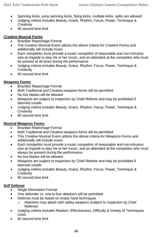- Spinning kicks, jump spinning kicks, flying kicks, multiple kicks, splits are allowed
- Judging criteria includes Beauty, Grace, Rhythm, Focus, Power, Technique & **Creativity**
- 90 second time limit

#### **Creative Musical Forms**

- Brazilian Repechage Format
- The Creative Musical Event utilizes the above criteria for Creative Forms and additionally will include music
- Each competitor must provide a music competitor of reasonable and non-intrusive size at ringside to play his or her music, and an attendant at the competitor who must be present at all times during the performance
- Judging criteria includes Beauty, Grace, Rhythm, Focus, Power, Technique & **Creativity**
- 90 second time limit

#### **Weapons Forms**

- Brazilian Repechage Format
- Both Traditional and Creative weapons forms will be permitted
- No live blades will be allowed
- Weapons are subject to inspection by Chief Referee and may be prohibited if deemed unsafe
- Judging criteria includes Beauty, Grace, Rhythm, Focus, Power, Technique & **Creativity**
- 90 second time limit

#### **Musical Weapons Forms**

- Brazilian Repechage Format
- Both Traditional and Creative weapons forms will be permitted
- This Creative Musical Event utilizes the above criteria for Weapons Forms and additionally will include music
- Each competitor must provide a music competitor of reasonable and non-intrusive size at ringside to play his or her music, and an attendant at the competitor who must always be present during the performance
- No live blades will be allowed
- Weapons are subject to inspection by Chief Referee and may be prohibited if deemed unsafe
- Judging criteria includes Beauty, Grace, Rhythm, Focus, Power, Technique & **Creativity**
- 90 second time limit

#### **Self Defense**

- Single Elimination Format
- One defender vs. one to four attackers will be permitted
- Defense must be based on empty hand techniques
	- o Attackers may attack with safety weapons (subject to inspection by Chief Referee)
- Judging criteria includes Realism, Effectiveness, Difficulty & Variety of Techniques Used
- 90 second time limit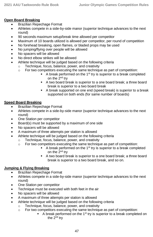#### **Open Board Breaking**

- Brazilian Repechage Format
- Athletes compete in a side-by-side manor (superior technique advances to the next round)
- 90 seconds maximum setup/break time allowed per competitor
- Maximum of 10 boards utilized is allowed per competitor, per round of competition
- No forehead breaking, open flames, or bladed props may be used
- No jumping/flying over people will be allowed
- No spacers will be allowed
- No direct elbow strikes will be allowed
- Athlete technique will be judged based on the following criteria
	- o Technique, focus, balance, power, and creativity
	- o For two competitors executing the same technique as part of competition:
		- $A$  break performed on the 1<sup>st</sup> try is superior to a break completed on the 2<sup>nd</sup> try
		- A two board break is superior to a one board break; a three board break is superior to a two board break
		- A break supported on one end (speed break) is superior to a break supported on both ends (for same number of boards)

#### **Speed Board Breaking**

- Brazilian Repechage Format
- Athletes compete in a side-by-side manor (superior technique advances to the next round)
- One Station per competitor
- Board(s) must be supported by a maximum of one side
- No spacers will be allowed
- A maximum of three attempts per station is allowed
- Athlete technique will be judged based on the following criteria
	- o Technique, focus, balance, power, and creativity
	- o For two competitors executing the same technique as part of competition:
		- $\blacksquare$  A break performed on the 1<sup>st</sup> try is superior to a break completed on the 2<sup>nd</sup> try
		- A two board break is superior to a one board break; a three board break is superior to a two board break, and so on.

#### **Jumping & Flying Breaking**

- Brazilian Repechage Format
- Athletes compete in a side-by-side manor (superior technique advances to the next round)
- One Station per competitor
- Technique must be executed with both feet in the air
- No spacers will be allowed
- A maximum of three attempts per station is allowed
	- Athlete technique will be judged based on the following criteria
		- o Technique, focus, balance, power, and creativity
		- $\circ$  For two competitors executing the same technique as part of competition:
			- A break performed on the 1<sup>st</sup> try is superior to a break completed on the 2<sup>nd</sup> try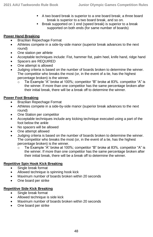- A two board break is superior to a one board break; a three board break is superior to a two board break, and so on.
- Break supported on 1 end (speed break) is superior to a break supported on both ends (for same number of boards)

#### **Power Hand Breaking**

- Brazilian Repechage Format
- Athletes compete in a side-by-side manor (superior break advances to the next round)
- One station per athlete
- Acceptable techniques include: Fist, hammer fist, palm heel, knife hand, ridge hand
- Spacers are REQUIRED
- One attempt is allowed
- Judging criteria is based on the number of boards broken to determine the winner. The competitor who breaks the most (or, in the event of a tie, has the highest percentage broken) is the winner.
	- $\circ$  Tie Example "A" broke at 100%; competitor "B" broke at 83%, competitor "A" is the winner. If more than one competitor has the same percentage broken after their initial break, there will be a break off to determine the winner.

#### **Power Foot Breaking**

- Brazilian Repechage Format
- Athletes compete in a side-by-side manor (superior break advances to the next round)
- One Station per competitor
- Acceptable techniques include any kicking technique executed using a part of the foot below the ankle
- No spacers will be allowed
- One attempt allowed
- Judging criteria is based on the number of boards broken to determine the winner. The competitor who breaks the most (or, in the event of a tie, has the highest percentage broken) is the winner.
	- o Tie Example "A" broke at 100%; competitor "B" broke at 83%. competitor "A" is the winner. If more than one competitor has the same percentage broken after their initial break, there will be a break off to determine the winner.

#### **Repetitive Spin Hook Kick Breaking**

- Single break format
- Allowed technique is spinning hook kick
- Maximum number of boards broken within 20 seconds
- One board per strike

#### **Repetitive Side Kick Breaking**

- Single break format
- Allowed technique is side kick
- Maximum number of boards broken within 20 seconds
- One board per strike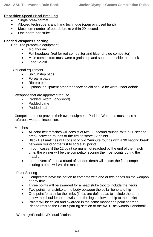#### **Repetitive Speed Hand Breaking**

- Single break format
- Allowed technique is any hand technique (open or closed hand)
- Maximum number of boards broke within 20 seconds
- One board per strike

#### **Padded Weapons Sparring**

Required protective equipment

- **Mouthquard**
- Full headgear (red for red competitor and blue for blue competitor)
- Male competitors must wear a groin cup and supporter inside the dobok
- Face Shield

Optional equipment

- Shin/instep pads
- Forearm pads
- Rib protector
- Optional equipment other than face shield should be worn under dobok

#### Weapons that are approved for use

- Padded Sword (long/short)
- Padded cane
- Padded staff

Competitors must provide their own equipment. Padded Weapons must pass a referee's weapon inspection.

#### **Matches**

- All color belt matches will consist of two 90-second rounds, with a 30 second break between rounds or the first to score 12 points
- Black Belt matches will consist of two 2-minute rounds with a 30 second break between round or the first to score 12 points
- In both cases, if the 12 point ceiling is not reached by the end of the match time, the winner will be the competitor scoring the most points during the match.
- In the event of a tie, a round of sudden death will occur; the first competitor scoring a point will win the match.

Point Scoring

- Competitors have the option to compete with one or two hands on the weapon at any time
- Three points will be awarded for a head strike (not to include the neck)
- Two points for a strike to the body between the collar bone and hip
- One point for a strike the limbs (limbs are defined as to include the arms below the shoulder to the wrist and the legs below the hip to the ankle)
- Points will be called and awarded in the same manner as point sparring. Please refer to the Point Sparring section of the AAU Taekwondo Handbook.

Warnings/Penalties/Disqualification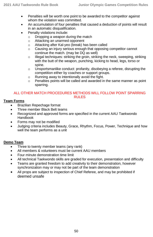- Penalties will be worth one point to be awarded to the competitor against whom the violation was committed.
- An accumulation of four penalties that caused a deduction of points will result in an automatic disqualification.
- Penalty violations include:
	- o Dropping a weapon during the match
	- o Attacking an unarmed opponent
	- o Attacking after Kal‐yeo (break) has been called
	- o Causing an injury serious enough that opposing competitor cannot continue the match. (may be DQ as well)
	- o Illegal techniques: striking the groin, striking the neck, sweeping, striking with the butt of the weapon, punching, kicking to head, legs, torso or spine.
	- o Unsportsmanlike conduct: profanity, disobeying a referee, disrupting the competition either by coaches or support groups.
	- $\circ$  Running away to intentionally avoid the fight.
	- o Penalties points will be called and awarded in the same manner as point sparring.

#### ALL OTHER MATCH PROCEDURES METHODS WILL FOLLOW POINT SPARRING **RULES**

#### **Team Forms**

- Brazilian Repechage format
- Three member Black Belt teams
- Recognized and approved forms are specified in the current AAU Taekwondo Handbook
- Forms may not be modified
- Judging criteria includes Beauty, Grace, Rhythm, Focus, Power, Technique and how well the team performs as a unit

#### **Demo Team**

- Three to twenty member teams (any rank)
- All members & volunteers must be current AAU members
- Four minute demonstration time limit
- All technical Taekwondo skills are graded for execution, presentation and difficulty
- Teams are granted freedom to add creativity to their demonstration, however synchronization may or may not be part of the team demonstration
- All props are subject to inspection of Chief Referee, and may be prohibited if deemed unsafe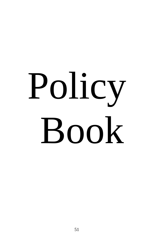# Policy Book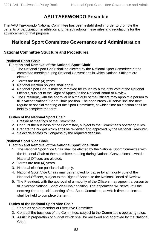# **AAU TAEKWONDO Preamble**

The AAU Taekwondo National Committee has been established in order to promote the benefits of participation in athletics and hereby adopts these rules and regulations for the advancement of that purpose.

# **National Sport Committee Governance and Administration**

#### **National Committee Structure and Procedures**

#### **National Sport Chair**

#### **Election and Removal of the National Sport Chair**

- 1. The National Sport Chair shall be elected by the National Sport Committee at the committee meeting during National Conventions in which National Officers are elected.
- 2. Terms are four (4) years.
- 3. National election policies shall apply.
- 4. National Sport Chairs may be removed for cause by a majority vote of the National Officers, subject to the Right of Appeal to the National Board of Review.
- 5. The President, with the approval of a majority of the Officers may appoint a person to fill a vacant National Sport Chair position. The appointees will serve until the next regular or special meeting of the Sport Committee, at which time an election shall be held to complete the term.

#### **Duties of the National Sport Chair**

- 1. Preside at meetings of the Committee.
- 2. Conduct the business of the Committee, subject to the Committee's operating rules.
- 3. Prepare the budget which shall be reviewed and approved by the National Treasurer.
- 4. Select delegates to Congress by the required deadline.

#### **National Sport Vice Chair**

#### **Election and Removal of the National Sport Vice Chair**

- 1. The National Sport Vice Chair shall be elected by the National Sport Committee with the National Chair at the committee meeting during National Conventions in which National Officers are elected.
- 2. Terms are four (4) years.
- 3. National election policies shall apply.
- 4. National Sport Vice Chairs may be removed for cause by a majority vote of the National Officers, subject to the Right of Appeal to the National Board of Review.
- 5. The President, with the approval of a majority of the Officers may appoint a person to fill a vacant National Sport Vice Chair position. The appointees will serve until the next regular or special meeting of the Sport Committee, at which time an election shall be held to complete the term.

#### **Duties of the National Sport Vice Chair**

- 1. Serve as senior member of Executive Committee
- 2. Conduct the business of the Committee, subject to the Committee's operating rules.
- 3. Assist in preparation of budget which shall be reviewed and approved by the National Chair.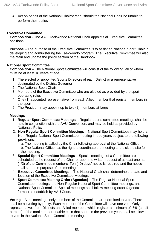4. Act on behalf of the National Chairperson, should the National Chair be unable to perform their duties

#### **Executive Committee**

**Composition** - The AAU Taekwondo National Chair appoints all Executive Committee positions.

**Purpose** – The purpose of the Executive Committee is to assist eh National Sport Chair in developing and administering the Taekwondo program. The Executive Committee will also maintain and update the policy section of the Handbook.

#### **National Sport Committee**

**Composition** – The National Sport Committee will consist of the following, all of whom must be at least 18 years of age.

- 1. The elected or appointed Sports Directors of each District or a representative designated by the District Governor
- 2. The National Sport Chair
- 3. Members of the Executive Committee who are elected as provided by the sport operating rules
- 4. One (1) appointed representative from each Allied member that register members in the sport
- 5. The President may appoint up to two (2) members-at-large

#### **Meetings**

- 1. **Regular Sport Committee Meetings –** Regular sports committee meetings shall be held in conjunction with the AAU Convention, and may be held as provided by Nationals Policy.
- 2. **Non-Regular Sport Committee Meetings** National Sport Committees may hold a Non-Regular National Sport Committee meeting in odd years subject to the following provisions:

a. The meeting is called by the Chair following approval of the National Office. b. The National Office has the right to coordinate the meeting and pick the site for

- the meeting.
- 3. **Special Sport Committee Meetings** Special meetings of a Committee are scheduled at the request of the Chair or upon the written request of at least one half (1/2) of the Committee members. Ten (10) days' notice is required and the notice shall state the purpose of the meeting.
- 4. **Executive Committee Meetings**  The National Chair shall determine the date and location of the Executive Committee Meetings.
- 5. **Sport Committee Meeting Order (Agendas) –** The Regular National Sport Committee meetings, the Non-Regular National Sport Committee meetings, and National Sport Committee Special meetings shall follow meeting order (agenda format) as establish by AAU Code.

**Voting** – At all meetings, only members of the Committee are permitted to vote. There shall be no voting by proxy. Each member of the Committee will have one vote. Only representatives from Districts and Allied members which register a minimum of .5% (a half percent) of the total number of athletes in that sport, in the previous year, shall be allowed to vote in the National Sport Committee meeting.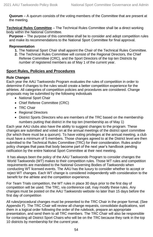**Quorum** – A quorum consists of the voting members of the Committee that are present at the meeting.

**Technical Rules Committee** – The Technical Rules Committee shall be a direct working body within the National Committee.

**Purpose** – The purpose of this committee shall be to consider and adopt competition rules and make its recommendations to the National Sport Committee for final approval.

#### **Representation**

- **1.** The National Sport Chair shall appoint the Chair of the Technical Rules Committee.
- **2.** The Technical Rules Committee will consist of the Regional Directors, the Chief Referee Committee (CRC), and the Sport Directors of the top ten Districts by number of registered members as of May 1 of the current year.

#### **Sport Rules, Policies and Procedures**

#### **Rule Changes**

Each year the AAU Taekwondo Program evaluates the rules of competition in order to determine if changes to the rules would create a better competition experience for the athletes. All categories of competition policies and procedures are considered. Change proposals may be submitted by the following individuals

- National Sport Chair
- Chief Referee Committee (CRC)
- TRC Chair
- Regional Directors
- District Sports Directors who are members of the TRC based on the membership numbers putting that district in the top ten (membership as of May 1)

Each year AAU clubs also have the ability to suggest changes to the program. These changes are submitted and voted on at the annual meetings of the district sport committee (for which there must be a quorum). To have voting privileges at the annual meeting, a club must have a minimum of 5 members. Those changes agreed to at the District level are then submitted to the Technical Rules Committee (TRC) for their consideration. Rules and/or policy changes that pass that body become part of the next year's handbook pending ratification by the entire National Sport Committee at their next meeting.

It has always been the policy of the AAU Taekwondo Program to consider changes the World Taekwondo (WT) makes to their competition rules. Those WT rules and competition requirements are mandated to the National Governing Bodies of Taekwondo when conducting WT licensed events. The AAU has the luxury to consider whether to accept or reject WT changes. Each WT change is considered independently with consideration to the benefit for the athlete and the competition experience.

For Team Trials competition, the WT rules in place 30 days prior to the first day of competition will be used. The TRC, via conference call, may modify these rules. Any changes must be posted on the AAU Taekwondo website no later than 15 days before the first day of competition

All rules/procedural changes must be presented to the TRC Chair in the proper format. (See Appendix F). The TRC Chair will review all change requests, consolidate duplications, sort them in a logical order following the order of the rulebook, prepare an appropriate presentation, and send them to all TRC members. The TRC Chair will also be responsible for contacting all District Sport Chairs who will be on the TRC because they rank in the top 10 districts by membership for the current year.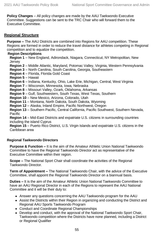**Policy Changes** – All policy changes are made by the AAU Taekwondo Executive Committee. Suggestions can be sent to the TRC Chair who will forward them to the Executive Committee.

#### **Regional Structure**

**Purpose –** The AAU Districts are combined into Regions for AAU competition. These Regions are formed in order to reduce the travel distance for athletes competing in Regional competition and to equalize the competition.

#### **Region Descriptions**

**Region 1** – New England, Adirondack, Niagara, Connecticut, NY Metropolitan, New Jersey

**Region 2** – Middle Atlantic, Maryland, Potomac Valley, Virginia, Western Pennsylvania

- **Region 3** North Carolina, South Carolina, Georgia, Southeastern
- **Region 4** Florida, Florida Gold Coast
- **Region 5** Hawaii

**Region 6** – Indiana, Kentucky, Ohio, Lake Erie, Michigan, Central, West Virginia

**Region 7** – Wisconsin, Minnesota, Iowa, Nebraska

**Region 8** – Missouri Valley, Ozark, Oklahoma, Arkansas

**Region 9** – Gulf, Southwestern, South Texas, West Texas, Southern

**Region 10** – New Mexico, Arizona, Colorado, Utah

**Region 11** – Montana, North Dakota, South Dakota, Wyoming

**Region 12** – Alaska, Inland Empire, Pacific Northwest, Oregon

**Region 13** – Southern Pacific, Central California, Pacific Southwest, Southern Nevada, **Pacific** 

**Region 14** – Mid-East Districts and expatriate U.S. citizens in surrounding countries including the island Cyprus

**Region 15** – Puerto Rico District, U.S. Virgin Islands and expatriate U.S. citizens in the Caribbean area

#### **Regional Taekwondo Directors**

**Purpose & Function –** It is the aim of the Amateur Athletic Union National Taekwondo Committee to have the Regional Taekwondo Director act as representative of the Executive Committee within their region.

**Scope –** The National Sport Chair shall coordinate the activities of the Regional Taekwondo Director.

**Term of Appointment –** The National Taekwondo Chair, with the advice of the Executive Committee, shall appoint the Regional Taekwondo Director on a biannual basis.

**Duties –** It is the aim of the Amateur Athletic Union National Taekwondo Committee to have an AAU Regional Director in each of the Regions to represent the AAU National Committee and it will be their duty to:

- Answer any questions concerning the AAU Taekwondo program for the AAU
- Assist the Districts within their Region in organizing and conducting the District and Regional AAU Sports Taekwondo Program
- Conduct and Coordinate Regional Championships
- Develop and conduct, with the approval of the National Taekwondo Sport Chair, Taekwondo competition where the Districts have none planned, including a District or Regional Qualifier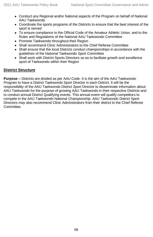- Conduct any Regional and/or National aspects of the Program on behalf of National AAU Taekwondo
- Coordinate the sports programs of the Districts to ensure that the best interest of the sport is served
- To ensure compliance to the Official Code of the Amateur Athletic Union, and to the Rules and Regulations of the National AAU Taekwondo Committee
- Promote Taekwondo throughout their Region
- Shall recommend Clinic Administrators to the Chief Referee Committee
- Shall ensure that the local Districts conduct championships in accordance with the guidelines of the National Taekwondo Sport Committee
- Shall work with District Sports Directors so as to facilitate growth and excellence sport of Taekwondo within their Region

#### **District Structure**

**Purpose –** Districts are divided as per AAU Code. It is the aim of the AAU Taekwondo Program to have a District Taekwondo Sport Director in each District. It will be the responsibility of the AAU Taekwondo District Sport Director to disseminate information about AAU Taekwondo for the purpose of growing AAU Taekwondo in their respective Districts and to conduct annual District Qualifying events. This annual event will qualify competitors to compete in the AAU Taekwondo National Championship. AAU Taekwondo District Sport Directors may also recommend Clinic Administrators from their district to the Chief Referee Committee.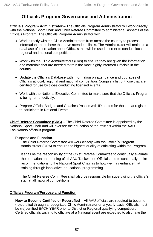# **Officials Program Governance and Administration**

**Officials Program Administrator –** The Officials Program Administrator will work directly with the National Sport Chair and Chief Referee Committee to administer all aspects of the Officials Program. The Officials Program Administrator will:

- Work directly with the Clinic Administrators from across the country to process information about those that have attended clinics. The Administrator will maintain a database of information about Officials that will be used in order to conduct local, regional and national competition.
- Work with the Clinic Administrators (CAs) to ensure they are given the information and materials that are needed to train the most highly informed Officials in the country.
- Update the Officials Database with information on attendance and upgrades of Officials at local, regional and national competition. Compile a list of those that are certified for use by those conducting licensed events.
- Work with the National Executive Committee to make sure that the Officials Program is being run effectively.
- Prepare Official Badges and Coaches Passes with ID photos for those that register to participate in National Events.

**Chief Referee Committee (CRC) –** The Chief Referee Committee is appointed by the National Sport Chair and will oversee the education of the officials within the AAU Taekwondo official's program.

#### **Purpose and Function**.

The Chief Referee Committee will work closely with the Official's Program Administrator (OPA) to ensure the highest quality of officiating within the Program.

It shall be the responsibility of the Chief Referee Committee to continually evaluate the education and training of all AAU Taekwondo Officials and to continually make recommendations to the National Sport Chair as to how we may enhance that training through innovative, educational programming.

The Chief Referee Committee shall also be responsible for supervising the official's staff at all national competitions.

#### **Officials Program/Purpose and Function**

**How to Become Certified or Recertified** – All AAU officials are required to become (re)certified through a recognized Clinic Administrator on a yearly basis. Officials must be (re)certified EACH YEAR prior to District or Regional qualifying competition. Certified officials wishing to officiate at a National event are expected to also take the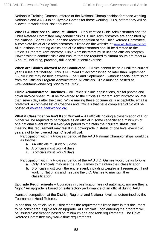National's Training Courses, offered at the National Championships for those working Nationals and AAU Junior Olympic Games for those working J.O.s, before they will be allowed to work either National event.

**Who is Authorized to Conduct Clinics** – Only certified Clinic Administrators and the Chief Referee Committee may conduct clinics. Clinic Administrators are appointed by the National Sports Chair upon the recommendation of the Chief Referee Committee. A complete list of clinic administrators is listed on the website at [www.aautaekwondo.org.](http://www.aautaekwondo.org/) All questions regarding clinics and clinic administrators should be directed to the Officials Program Administrator. Clinic Administrators must use the officials program PowerPoint to conduct clinic and ensure that the required minimum hours are meet (4- 6 hours) including, practical, drill and situational exercise.

**When are Clinics Allowed to be Conducted** – Clinics cannot be held until the current year's rules are finalized. This is NORMALLY accomplished no later than September 15. No clinic may be held between June 1 and September 1 without special permission from the Officials Program Administrator. All officials' Clinic must be posted at www.aautaekwondo.org prior to the Clinic.

**Clinic Administrator Timelines** – All Officials' clinic applications, digital photos and cover invoice sheet, must be forwarded to the Officials Program Administrator no later than seven days after the clinic. While mailing these documents is acceptable, email is preferred. A complete list of Coaches and Officials that have completed clinic will be posted a[t www.aautaekwondo.org](http://www.aautaekwondo.org/)

**What if Classification Isn't Kept Current** – All officials holding a classification of B or higher will be required to participate as an official in some capacity at a minimum of one national event within a two-year period to maintain their current status. Not meeting this requirement may result in a downgrade in status of one level every two years, not to be lowered past C level official.

Participation within a two-year period at the AAU National Championships would be as follows:

- **a.** AA officials must work 5 days
- **b.** A officials must work 4 days
- **c.** B officials must work 3 days

Participation within a two-year period at the AAU J.O. Games would be as follows:

- **a.** Only B officials may use the J.O. Games to maintain their classification
- **b.** B officials must work the entire event, including weigh-ins if requested, if not working Nationals and needing the J.O. Games to maintain their classification

**Upgrade Requirements** – Upgrades in classification are not automatic, nor are they a "right." An upgrade is based on satisfactory performance of an official during AAU

licensed competition at the District, Regional and National level, as determined by the Tournament Head Referee.

In addition, an official MUST first meets the requirements listed later in this document to be considered eligible for an upgrade. ALL officials upon entering the program will be issued classification based on minimum age and rank requirements. The Chief Referee Committee may waive time requirements.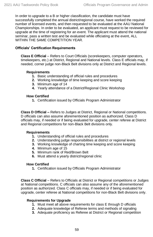In order to upgrade to a B or higher classification, the candidate must have successfully completed the annual district/regional course, have worked the required number of licensed events, and then requested to be evaluated at the AAU National Championships. In order to be evaluated, an applicant must request to be reviewed for upgrade at the time of registering for an event. The applicant must attend the national seminar, pass a written test and be evaluated while officiating at the event, ALL WITHIN THE SAME COMPETITION YEAR.

#### **Officials' Certification Requirements**

**Class E Official** – Refers to Court Officials (scorekeepers, computer operators, timekeepers, etc.) at District, Regional and National levels. Class E officials may, if needed, corner judge non-Black Belt divisions only at District and Regional levels.

#### **Requirements**

- **1.** Basic understanding of official rules and procedures
- **2.** Working knowledge of time keeping and score keeping
- **3.** Minimum age of 14
- **4.** Yearly attendance of a District/Regional Clinic Workshop

#### **How Certified**

**1.** Certification issued by Officials Program Administrator

**Class D Official –** Refers to Judges at District, Regional or National competitions. D officials can also assume aforementioned position as authorized. Class D officials may, if needed or if being evaluated for upgrade, center referee at District and Regional competitions for non-Black Belt divisions only.

#### **Requirements**

- **1.** Understanding of official rules and procedures
- **2.** Understanding judge responsibilities at district or regional levels
- **3.** Working knowledge of charting time keeping and score keeping
- **4.** Minimum age of 15
- **5.** Minimum rank of Red/Brown Belt
- **6.** Must attend a yearly district/regional clinic

#### **How Certified**

**1.** Certification issued by Officials Program Administrator

**Class C Official** – Refers to Officials at District or Regional competitions or Judges at National competitions. C officials can also assume any of the aforementioned position as authorized. Class C officials may, if needed or if being evaluated for upgrade, center referee at National competitions for non-Black Belt divisions only.

#### **Requirements for Upgrade**

- **1.** Must meet all above requirements for class E through D officials
- **2.** Adequate knowledge of Referee terms and methods of signaling
- **3.** Adequate proficiency as Referee at District or Regional competition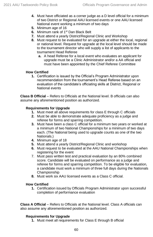- **4.** Must have officiated as a corner judge as a D level official for a minimum of two District or Regional AAU licensed events or one AAU licensed National event working a minimum of two days
- **5.** Minimum age of 16
- **6.** Minimum rank of 1<sup>st</sup> Dan Black Belt
- **7.** Must attend a yearly District/Regional Clinic and Workshop
- **8.** Must request to be evaluated for an upgrade at either the local, regional or national level. Request for upgrade at the local level should be made to the tournament director who will supply a list of applicants to the tournament Head Referee
	- **a.** A head Referee for a local event who evaluates an applicant for upgrade must be a Clinic Administrator and/or a AA official and must have been appointed by the Chief Referee Committee

#### **How Certified**

**1.** Certification is issued by the Official's Program Administrator upon recommendation from the tournament's Head Referee based on an evaluation of the candidate's officiating skills at District, Regional or National events

**Class B Official** – Refers to Officials at the National level. B officials can also assume any aforementioned position as authorized.

#### **Requirements for Upgrade**

- **1.** Must meet all above requirements for class E through C officials
- **2.** Must be able to demonstrate adequate proficiency as a judge and referee for forms and sparring competition.
- **3.** Must have been a class C official for a minimum two years or worked at a minimum of two National Championships for a minimum of two days each. (The National being used to upgrade counts as one of the two Nationals.)
- **4.** Minimum age of 18
- **5.** Must attend a yearly District/Regional Clinic and workshop
- **6.** Must request to be evaluated at the AAU National Championships when registering for the event
- 7. Must pass written test and practical evaluation by an 80% combined score. Candidate will be evaluated on performance as a judge and referee for forms and sparring competition. To be eligible for evaluation, a candidate must work a minimum of three full days during the Nationals Championship
- **8.** Must work six AAU licensed events as a Class C official.

#### **How Certified**

**1.** Certification issued by Officials Program Administrator upon successful completion of performance evaluation

**Class A Official** – Refers to Officials at the National level. Class A officials can also assume any aforementioned position as authorized.

#### **Requirements for Upgrade**

**1.** Must meet all requirements for Class E through B official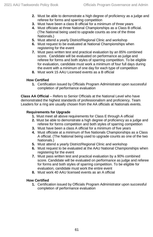- **2.** Must be able to demonstrate a high degree of proficiency as a judge and referee for forms and sparring competition
- **3.** Must have been a class B official for a minimum of three years
- **4.** Must officiate at three National Championships as a Class B official. (The National being used to upgrade counts as one of the three Nationals.)
- **5.** Must attend a yearly District/Regional Clinic and workshop
- **6.** Must request to be evaluated at National Championships when registering for the event
- **7.** Must pass written test and practical evaluation by an 85% combined score. Candidate will be evaluated on performance as judge and referee for forms and both styles of sparring competition. To be eligible for evaluation, candidate must work a minimum of four full days during the event with a minimum of one day for each type of competition
- **8.** Must work 15 AAU Licensed events as a B official

#### **How Certified**

**1.** Certification issued by Officials Program Administrator upon successful completion of performance evaluation

**Class AA Official** – Refers to Senior Officials at the National Level who have demonstrated the highest standards of professionalism and proficiency. Team Leaders for a ring are usually chosen from the AA officials at Nationals events.

#### **Requirements for Upgrade**

- **1.** Must meet all above requirements for Class E through A official
- **2.** Must be able to demonstrate a high degree of proficiency as a judge and referee for forms competition and both styles of sparring competition
- **3.** Must have been a class A official for a minimum of five years
- **4.** Must officiate at a minimum of five Nationals Championships as a Class A official. (The National being used to upgrade counts as one of the two Nationals.)
- **5.** Must attend a yearly District/Regional Clinic and workshop
- **6.** Must request to be evaluated at the AAU National Championships when registering for the event
- **7.** Must pass written test and practical evaluation by a 90% combined score. Candidate will be evaluated on performance as judge and referee for forms and both styles of sparring competition. To be eligible for evaluation, candidate must work the entire event
- **8.** Must work 40 AAU licensed events as an A official

#### **How Certified**

**1.** Certification issued by Officials Program Administrator upon successful completion of performance evaluation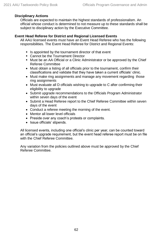#### **Disciplinary Actions**

Officials are expected to maintain the highest standards of professionalism. An official whose conduct is determined to not measure up to these standards shall be subject to disciplinary action by the Executive Committee.

#### **Event Head Referee for District and Regional Licensed Events**

All AAU licensed events must have an Event Head Referee who has the following responsibilities. The Event Head Referee for District and Regional Events:

- Is appointed by the tournament director of that event
- Cannot be the Tournament Director
- **■** Must be an AA Official or a Clinic Administrator or be approved by the Chief Referee Committee
- Must obtain a listing of all officials prior to the tournament, confirm their classifications and validate that they have taken a current officials' clinic.
- Must make ring assignments and manage any movement regarding those ring assignments
- Must evaluate all D officials wishing to upgrade to C after confirming their eligibility to upgrade
- Submit upgrade recommendations to the Officials Program Administrator within seven days of the event
- Submit a Head Referee report to the Chief Referee Committee within seven days of the event
- Conduct a referee meeting the morning of the event.
- Mentor all lower level officials
- Preside over any coach's protests or complaints.
- Issue officials' stipends.

All licensed events, including one official's clinic per year, can be counted toward an official's upgrade requirement, but the event head referee report must be on file with the Chief Referee Committee.

Any variation from the policies outlined above must be approved by the Chief Referee Committee.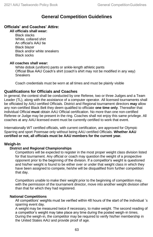# **General Competition Guidelines**

#### **Officials' and Coaches' Attire:**

**All officials shall wear:**

Black slacks White, collared shirt An official's AAU tie Black blazer Black and/or white sneakers Black socks

#### **All coaches shall wear:**

White dobok (uniform) pants or ankle-length athletic pants Official Blue AAU Coach's shirt (coach's shirt may not be modified in any way) **Sneakers** 

Coach credentials must be worn at all times and must be plainly visible

#### **Qualifications for Officials and Coaches**

In general, the contest shall be conducted by one Referee, two or three Judges and a Team Leader (TL), along with the assistance of a computer operator. All licensed tournaments shall be officiated by AAU certified Officials. District and Regional tournament directors **may** allow any non-certified Black Belt they deem qualified to officiate **one time only**. Thereafter that individual Official **must** obtain AAU Official certification. No more than one non-certified Referee or Judge may be present in the ring. Coaches shall not enjoy this same privilege. All coaches at any AAU licensed event must be currently certified to work that event.

Internationally WT certified officials, with current certification, are approved for Olympic Sparring and sport Poomsae only without being AAU certified Officials. **Whether AAU certified or not, all officials must be AAU members for the current year.**

#### **Weigh-In**

#### **District and Regional Championships**

Competitors will be expected to register in the most proper weight class division listed for that tournament. Any official or coach may question the weight of a prospective opponent prior to the beginning of the division. If a competitor's weight is questioned and his/her weight is found to be either over or under that weight class in which they have been assigned to compete, he/she will be disqualified from further competition that day.

Competitors unable to make their weight prior to the beginning of competition may, with the permission of the tournament director, move into another weight division other than that for which they had registered.

#### **National Competitions**

All competitors' weights must be verified within 48 hours of the start of the individual 's sparring event day.

A weight may be measured twice if necessary, to make weight. The second reading of a competitor's weight may take place any time during the posted weigh-in times. During the weigh-in, the competitor may be required to verify his/her membership in the United States AAU and provide proof of age.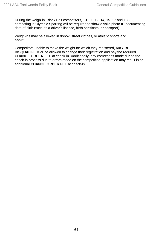During the weigh-in, Black Belt competitors, 10–11, 12–14, 15–17 and 18–32, competing in Olympic Sparring will be required to show a valid photo ID documenting date of birth (such as a driver's license, birth certificate, or passport).

Weigh-ins may be allowed in dobok, street clothes, or athletic shorts and t-shirt.

Competitors unable to make the weight for which they registered, **MAY BE DISQUALIFIED** or be allowed to change their registration and pay the required **CHANGE ORDER FEE** at check-in. Additionally, any corrections made during the check-in process due to errors made on the competition application may result in an additional **CHANGE ORDER FEE** at check-in.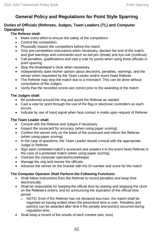# **General Policy and Regulations for Point Style Sparring**

#### **Duties of Officials (Referees, Judges, Team Leaders (TL) and Computer Operators)**

#### **The Referee shall:**

- Make every effort to ensure the safety of the competitors
- Control the competition
- Physically inspect the competitors before the match
- Give pre-competition instructions when necessary, declare the end of the match, and give warnings and commands such as *kal-yeo* (break) and *kye-sok* (continue)
- Call penalties, qualifications and cast a vote for points when using three officials in point sparring
- Stop the timekeeper's clock when necessary
- Independently state his/her opinion about decisions, penalties, warnings, and the winner when requested by the Team Leader and/or event head Referee
- The Referee may stop the match due to a mismatch. This can be done without consultation of the Judges.
- Verify that the recorded scores are correct prior to the awarding of the match

#### **The Judges shall:**

- Be positioned around the ring and assist the Referee as needed
- Cast a vote for point through the use of the flag or electronic controllers as each occurs.
- Indicate by use of hand signal when face contact is made upon request of Referee

#### **The Team Leader shall:**

- Consult with the Referee and Judges if necessary
- Inspect the scorecard for accuracy (when using paper scoring)
- Confirm the winner only on the basis of the scorecard and inform the Referee (when using paper scoring)
- In the case of questions, the Team Leader should consult with the appropriate Judge or Referee
- Sign each contested match's scorecard and present it to the event head Referee in the case of a protested match (when using paper scoring)
- Oversee the computer operator/scorekeeper
- Manage the ring and mentor the officials
- Advance the winner on the bracket with the ID number and score for the match

#### **The Computer Operator Shall Perform the Following Functions:**

- Shall follow instructions from the Referee to record penalties and keep time electronically
- Shall be responsible for keeping the official time by starting and stopping the clock on the Referee's orders, and for announcing the expiration of the official time period
	- o NOTE**:** Even if the Referee has not declared *keu-man*, the match shall be regarded as having ended when the prescribed time is over. Penalties and point(s) can be awarded after time if the penalty and point(s) occurred during regulation time.
- Shall keep a record of the results of each contest (win, loss)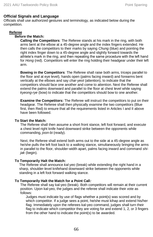#### **Official Signals and Language**

Officials shall use authorized gestures and terminology, as indicated below during the competition.

#### **Referee**

#### **Before the Match:**

**Calling the Competitors**: The Referee stands at his mark in the ring, with both arms bent at the elbow at a 45-degree angle and the index fingers extended. He then calls the competitors to their marks by saying *Chung* (blue) and pointing the right index finger down to a 45-degree angle and slightly forward towards the athlete's mark in the ring, and then repeating the same procedure with the left hand for *Hong* (red). Competitors will enter the ring holding their headgear under their left arm.

**Bowing in the Competitors**: The Referee shall raise both arms, triceps parallel to the floor and at eye level), hands open (palms facing inward) and forearms bent vertically at the elbows and say *char-yeot* (attention), to indicate that the competitors should face one another and come to attention. Next the Referee shall extend the palms downward and parallel to the floor at chest level while saying *kyeong-rye* (bow) to indicate that the competitors should bow to one another.

**Examine the Competitors:** The Referee will instruct the competitors to put on their headgear. The Referee shall then physically examine the two competitors (Blue first, then Red) to ensure that all the requirements listed in Articles I and II above have been followed.

#### **To Start the Match:**

The Referee shall then assume a short front stance, left foot forward, and execute a chest level right knife hand downward strike between the opponents while commanding, *joon-bi* (ready).

Next, the Referee shall extend both arms out to the side at a 45-degree angle as he/she pulls the left foot back to a walking stance, simultaneously bringing the arms in parallel to the floor, shoulder-width apart, palms facing inward and command *shijak* (begin).

#### **To Temporarily Halt the Match:**

The Referee shall announce *kal-yeo* (break) while extending the right hand in a sharp, shoulder-level knifehand downward strike between the opponents while standing in a left foot forward walking stance.

#### **To Temporarily Halt the Match for a Point Call***:*

The Referee shall say kal-yeo (break). Both competitors will remain at their current position. Upon kal-yeo, the judges and the referee shall indicate their vote as follows:

Judges must indicate by use of flags whether a point(s) was scored and by which competitor. If a judge sees a point, he/she must kihap and extend his/her flag. Immediately upon the referees kal-yeo command, judges shall turn their flag to indicate which competitor they are voting for and extend 1, 2, or 3 fingers from the other hand to indicate the point(s) to be awarded.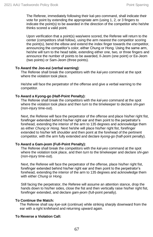The Referee, immediately following their kal-yeo command, shall indicate their vote for point by extending the appropriate arm (using 1, 2, or 3 fingers to indicate the point(s) to be awarded in the direction of the competitor who he/she thinks scored a valid point.

Upon verification that a point(s) was/were scored, the Referee will return to the center (competitors shall follow), using the arm nearest the competitor scoring the point(s), bend the elbow and extend the index finger towards the competitor, announcing the competitor's color, either Chung or Hong. Using the same arm, he/she will turn to the head table, extending either one, two, or three fingers and announce the number of points to be awarded, Il-Jeom (one point) or Ee-Jeom (two points) or Sam-Jeom (three points).

#### **To Award the Joo-eui (verbal warning)**:

The Referee shall break the competitors with the *kal-yeo* command at the spot where the violation took place.

He/she will face the perpetrator of the offense and give a verbal warning to the competitor.

#### **To Award a Kyong-go (Half-Point Penalty):**

The Referee shall break the competitors with the *kal-yeo* command at the spot where the violation took place and then turn to the timekeeper to declare *shi-gan* (non-injury time-out).

Next, the Referee will face the perpetrator of the offense and place his/her right fist, forefinger extended behind his/her right ear and then point to the perpetrator's forehead, extending the interior of the arm to 135 degrees and acknowledge them as either *Chung* or *Hong*. Next he/she will place his/her right fist, forefinger extended to his/her left shoulder and then point at the forehead of the pertinent competitor, with the arm fully extended and declare *kyong-go* (half-point penalty).

#### **To Award a Gam-jeom (Full-Point Penalty):**

The Referee shall break the competitors with the *kal-yeo* command at the spot where the violation took place, and then turn to the timekeeper and declare *shi-gan* (non-injury time-out).

Next, the Referee will face the perpetrator of the offense, place his/her right fist, forefinger extended behind his/her right ear and then point to the perpetrator's forehead, extending the interior of the arm to 135 degrees and acknowledge them with either *Chung* or *Hong*.

Still facing the perpetrator, the Referee will assume an attention stance, drop the hands down to his/her sides, close the fist and then vertically raise his/her right fist, forefinger extended, and declare *gam-jeom* (full-point penalty).

#### **To Continue the Match:**

The Referee shall say *kye-sok* (continue) while striking sharply downward from the ear with a right knifehand and returning upward again.

#### **To Reverse a Violation Call:**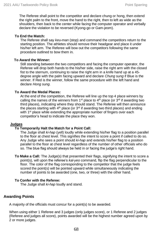The Referee shall point to the competitor and declare chung or hong, then extend the right palm to the front, move the hand to the right, then to left as wide as the shoulders, then back to the center while facing the computer operator and verbally declare the violation to be reversed (Kyong-go or Gam-jeom).

#### **To End the Match:**

The Referee shall say *keu-man* (stop) and command the competitors return to the starting position. The athletes should remove their headgear and place it under his/her left arm. The Referee will bow out the competitors following the same procedure outlined to bow them in.

#### **To Award the Winner:**

Still standing between the two competitors and facing the computer operator, the Referee will drop both hands to the his/her side, raise the right arm with the closed fist to the sternum, continuing to raise the right arm in a knife hand up at a 45 degree angle with the palm facing upward and declare *Chung sung* if Blue is the winner. If Red is the winner, follow the same procedure with the left hand and declare *Hong sung*.

#### **To Award the Medal Places:**

At the end of the competition, the Referee will line up the top 4 place winners by calling the names of the winners from 1<sup>st</sup> place to 4<sup>th</sup> place (or 3<sup>rd</sup> if awarding two third places), indicating where they should stand. The Referee will then announce the places starting with  $4<sup>th</sup>$  place (or  $3<sup>rd</sup>$  if awarding two third places) and ending with 1<sup>st</sup> place while extending the appropriate number of fingers over each competitor's head to indicate the place they won.

#### **Judges**

#### **To Temporarily Halt the Match for a Point Call:**

The Judge shall *ki-hap* (yell) loudly while extending his/her flag to a position parallel to the floor at chest level. This signifies the intent to score a point if called to do so. Any Judge who sees a point should *ki-hap* and extends his/her flag to a position parallel to the floor at chest level regardless of the number of other officials who do so. The blue flag should always be held in or facing the judge's right hand.

**To Make a Call***:* The Judge(s) that presented their flags, signifying the intent to score a point(s), will upon the referee's *kal-yeo* command, flip the flag perpendicular to the floor. The color of the flag corresponding to the competitor that the judge feels scored the point(s) will be pointed upward while simultaneously indicating the number of points to be awarded (one, two, or three) with the other hand.

#### **To Confer with the Referee:**

The Judge shall *ki-hap* loudly and stand.

#### **Awarding Points**

A majority of the officials must concur for a point(s) to be awarded.

When using either 1 Referee and 3 judges (only judges score), or 1 Referee and 2 judges (Referee and judges all score), points awarded will be the highest number agreed upon by 2 or more judges.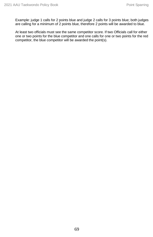Example: judge 1 calls for 2 points blue and judge 2 calls for 3 points blue; both judges are calling for a minimum of 2 points blue, therefore 2 points will be awarded to blue.

At least two officials must see the same competitor score. If two Officials call for either one or two points for the blue competitor and one calls for one or two points for the red competitor, the blue competitor will be awarded the point(s).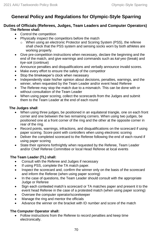# **General Policy and Regulations for Olympic-Style Sparring**

## **Duties of Officials (Referees, Judges, Team Leaders and Computer Operators) The Referee shall:**

- Control the competition
- Physically inspect the competitors before the match
	- o When using an electronic Protector and Scoring System (PSS), the referee shall check that the PSS system and sensing socks worn by both athletes are working properly.
- Give pre-competition instructions when necessary, declare the beginning and the end of the match, and give warnings and commands such as *kal-yeo* (break) and *kye-sok* (continue)
- Announce penalties and disqualifications and verbally announce invalid scores.
- Make every effort to ensure the safety of the competitor
- Stop the timekeeper's clock when necessary
- Independently state his/her opinion about decisions, penalties, warnings, and the winner, when requested by the Team Leader and/or event head Referee
- The Referee may stop the match due to a mismatch. This can be done with or without consultation of the Team Leader
- When using paper scoring, collect the scorecards from the Judges and submit them to the Team Leader at the end of each round

### **The Judges shall**:

- When using three judges, be positioned in an equilateral triangle, one on each front corner and one between the two remaining corners. When using two judges, be positioned one at a front corner of the ring and the other at the opposite corner in rear of the ring.
- Record points, warnings, infractions, and disqualifications on the scorecard if using paper scoring. Score point with controllers when using electronic scoring
- Deliver the completed scorecard to the Referee following the end of each round if using paper scoring
- State their opinions forthrightly when requested by the Referee, Team Leader and/or Chief Referee Committee or local Head Referee at local events

## **The Team Leader (TL) shall:**

- Consult with the Referee and Judges if necessary
- If using PSS, complete the TA match paper.
- Inspect the scorecard and, confirm the winner only on the basis of the scorecard and inform the Referee (when using paper scoring)
- In the case of questions, the Team Leader should consult with the appropriate Judge or Referee
- Sign each contested match's scorecard or TA matches paper and present it to the event head Referee in the case of a protested match (when using paper scoring)
- Oversee the computer operator/scorekeeper
- Manage the ring and mentor the officials
- Advance the winner on the bracket with ID number and score of the match

## **The Computer Operator shall:**

• Follow instructions from the Referee to record penalties and keep time electronically.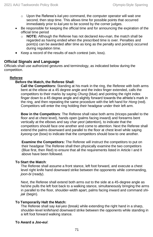- o Upon the Referee's *kal-yeo* command, the computer operator will wait one second, then stop time. This allows time for possible points that occurred immediately prior to *kal-yeo* to be scored by the corner judges.
- Be responsible for keeping the official time and for announcing the expiration of the official time period
	- o **NOTE:** Although the Referee has not declared *keu-man*, the match shall be regarded as having ended when the prescribed time is over. Penalties and point(s) can be awarded after time as long as the penalty and point(s) occurred during regulation time.
- Keep a record of the results of each contest (win, loss).

## **Official Signals and Language**

Officials shall use authorized gestures and terminology, as indicated below during the competition.

### **Referee**

#### **Before the Match, the Referee Shall**:

**Call the Competitors:** Standing at his mark in the ring, the Referee with both arms bent at the elbow at a 45 degree angle and the index finger extended, calls the competitors to their marks by saying *Chung* (blue) and pointing the right index finger down to a 45 degree angle and slightly forward towards the athlete's mark in the ring, and then repeating the same procedure with the left hand for *Hong* (red). Competitors will enter the ring holding their headgear under their left arm.

**Bow in the Competitors**: The Referee shall raise both arms (triceps parallel to the floor and at chest level), hands open (palms facing inward) and forearms bent vertically at the elbows and say *char-yeot* (attention), to indicate that the competitors should face one another and come to attention. Next the Referee shall extend the palms downward and parallel to the floor at chest level while saying *kyeong-rye* (bow) to indicate that the competitors should bow to one another.

**Examine the Competitors:** The Referee will instruct the competitors to put on their headgear The Referee shall then physically examine the two competitors (Blue first, then Red) to ensure that all the requirements listed in Article I and II above have been followed.

#### **To Start the Match**:

The Referee shall assume a front stance, left foot forward, and execute a chest level right knife hand downward strike between the opponents while commanding, *joon-bi* (ready).

Next, the Referee shall extend both arms out to the side at a 45-degree angle as he/she pulls the left foot back to a walking stance, simultaneously bringing the arms in parallel to the floor, shoulder-width apart, palms facing inward and command *shijak* (begin).

#### **To Temporarily Halt the Match:**

The Referee shall say *kal-yeo* (break) while extending the right hand in a sharp, shoulder-level knifehand downward strike between the opponents while standing in a left foot forward walking stance.

#### **To Award a** *Joo-eui*: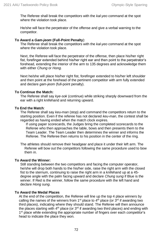The Referee shall break the competitors with the *kal-yeo* command at the spot where the violation took place.

He/she will face the perpetrator of the offense and give a verbal warning to the competitor.

#### **To Award a** *Gam-jeom* **(Full-Point Penalty**):

The Referee shall break the competitors with the *kal-yeo* command at the spot where the violation took place.

Next, the Referee will face the perpetrator of the offense, then place his/her right fist, forefinger extended behind his/her right ear and then point to the perpetrator's forehead, extending the interior of the arm to 135 degrees and acknowledge them with either *Chung* or *Hong*.

Next he/she will place his/her right fist, forefinger extended to his/her left shoulder and then point at the forehead of the pertinent competitor with arm fully extended and declare *gam-jeom* (full-point penalty).

#### **To Continue the Match:**

The Referee shall say *kye-sok* (continue) while striking sharply downward from the ear with a right knifehand and returning upward.

#### **To End the Match***:*

The Referee shall say *keu-man* (stop) and command the competitors return to the starting position. Even if the referee has not declared *keu-man*, the contest shall be regarded as having ended when the match clock expires.

If using paper scorecards, the Judges bring the completed scorecards to the Referee who then approaches the table, bows and then presents them to the Team Leader. The Team Leader then determines the winner and informs the Referee. The Referee then returns to his position in the center of the ring.

The athletes should remove their headgear and place it under their left arm. The Referee will bow out the competitors following the same procedure used to bow them in.

#### **To Award the Winner:**

Still standing between the two competitors and facing the computer operator, he/she will drop both hands to the his/her side, raise the right arm with the closed fist to the sternum, continuing to raise the right arm in a knifehand up at a 45 degree angle with the palm facing upward and declare *Chung sung* if Blue is the winner. If Red is the winner, follow the same procedure with the left hand and declare *Hong sung*.

#### **To Award the Medal Places**

At the end of the competition, the Referee will line up the top 4 place winners by calling the names of the winners from 1<sup>st</sup> place to 4<sup>th</sup> place (or  $3<sup>rd</sup>$  if awarding two third places), indicating where they should stand. The Referee will then announce the places starting with  $4<sup>th</sup>$  place (or  $3<sup>rd</sup>$  if awarding two third places) and ending with 1 st place while extending the appropriate number of fingers over each *competitor*'s head to indicate the place they won.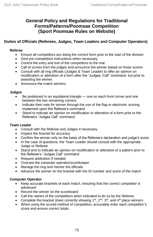## **General Policy and Regulations for Traditional Forms/Patterns/Poomsae Competition (Sport Poomsae Rules on Website)**

## **Duties of Officials (Referees, Judges, Team Leaders and Computer Operators)**

## **Referee**

- Ensure all competitors are doing the correct form prior to the start of the division
- Give pre-competition instructions when necessary
- Control the entry and exit of the competitors to the mat
- Call of scores from the judges and announce the winner based on those scores
- Consult with all ring officials (Judges & Team Leader) to offer an opinion on modification or alteration of a form after the "Judges, Call" command, but prior to awarding the winner.
- Announce the match winners

### **Judges**

- Be positioned in an equilateral triangle one on each front corner and one between the two remaining corners
- Indicate their vote for winner through the use of the flag or electronic scoring implement upon the Referee's command
- Stand to indicate an opinion on modification or alteration of a form prior to the Referee's "Judges Call" command

## **Team Leader**

- Consult with the Referee and Judges if necessary
- Inspect the bracket for accuracy
- Confirm the winner only on the basis of the Referee's declaration and judge's score
- In the case of questions, the Team Leader should consult with the appropriate Judge or Referee
- Stand and to indicate an opinion on modification or alteration of a pattern prior to the Referee's "Judges Call" command
- Request arbitration if needed
- Oversee the computer operator/scorekeeper
- Manage the ring and mentor the officials
- Advance the winner on the bracket with the ID number and score of the match

## **Computer Operator**

- Keep accurate brackets of each match, ensuring that the correct competitor is advanced
- Record the winner on the scoreboard
- Call the names of the competitors when indicated to do so by the Referee
- Complete the bracket sheet correctly showing  $1^{st}$ ,  $2^{nd}$ ,  $3^{rd}$ , and  $4^{th}$  place winners
- When using the scored method of competition, accurately enter each competitor's score and ensure correct totals.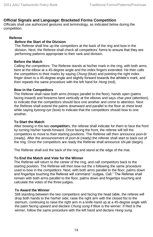## **Official Signals and Language: Bracketed Forms Competition**

Officials shall use authorized gestures and terminology, as indicated below during the competition.

#### **Referee**

## **Before the Start of the Division**

The Referee shall line up the competitors at the back of the ring and bow in the division. Next, the Referee shall check all competitors' forms to ensure that they are performing patterns appropriate to their rank and division.

#### **Before the Match**

Calling the competitors: The Referee stands at his/her mark in the ring, with both arms bent at the elbow at a 45-degree angle and the index fingers extended. He then calls the competitors to their marks by saying *Chung* (blue) and pointing the right index finger down to a 45-degree angle and slightly forward towards the athlete's mark, and then repeats the same procedure with the left hand for *Hong* (red).

#### **Bow in the Competitors**

The Referee shall raise both arms (triceps parallel to the floor), hands open (palms facing inward) and forearms bent vertically at the elbows and says *char-yeot* (attention), to indicate that the competitors should face one another and come to attention. Next the Referee shall extend the palms downward and parallel to the floor at chest level while saying *kyeong-rye* (bow) to indicate that the competitors should bow to one another.

#### **To Start the Match**

After bowing in the two *competitor*s, the referee shall indicate for them to face the front by turning his/her hands forward. Once facing the front, the referee will tell the competitors to move to their starting positions. The Referee will then announce *joon-bi* (ready). After the announcement of *joon-bi* (ready) the referee shall start to back out of the ring. Once the competitors are ready the Referee shall announce *shi-jak* (begin).

The Referee shall exit the back of the ring and stand at the edge of the mat.

#### **To End the Match and Vote for the Winner**

The Referee will return to the center of the ring, and call competitors back to the starting position. The Referee will then bow out the s following the same procedure used to bow in the competitors. Next, with both arms parallel to the floor, palms down and fingertips touching the Referee will command "Judges, Call." The Referee shall remain with both arms parallel to the floor, palms down and fingertips touching and calculate the votes of the three judges.

#### **To Award the Winner**

Still standing between the two competitors and facing the head table, the referee will drop both hands to the his/her side, raise the right arm with the closed fist to the sternum, continuing to raise the right arm in a knife-hand up at a 45-degree angle with the palm facing upward and declare *Chung sung* if Blue is the winner. If Red is the winner, follow the same procedure with the left hand and declare *Hong sung*.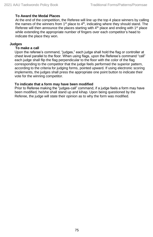#### **To Award the Medal Places**

At the end of the competition, the Referee will line up the top 4 place winners by calling the names of the winners from  $1<sup>st</sup>$  place to  $4<sup>th</sup>$ , indicating where they should stand. The Referee will then announce the places starting with  $4<sup>th</sup>$  place and ending with  $1<sup>st</sup>$  place while extending the appropriate number of fingers over each competitor's head to indicate the place they won.

#### **Judges**

#### **To make a call**

Upon the referee's command, "judges," each judge shall hold the flag or controller at chest level parallel to the floor. When using flags, upon the Referee's command "call" each judge shall flip the flag perpendicular to the floor with the color of the flag corresponding to the competitor that the judge feels performed the superior pattern, according to the criteria for judging forms, pointed upward. If using electronic scoring implements, the judges shall press the appropriate one point button to indicate their vote for the winning competitor.

#### **To indicate that a form may have been modified**

Prior to Referee making the "judges-call" command, if a judge feels a form may have been modified, he/she shall stand up and kihap. Upon being questioned by the Referee, the judge will state their opinion as to why the form was modified.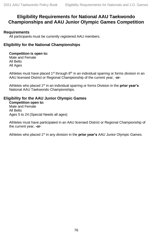## **Eligibility Requirements for National AAU Taekwondo Championships and AAU Junior Olympic Games Competition**

## **Requirements**

All participants must be currently registered AAU members.

## **Eligibility for the National Championships**

#### **Competition is open to:**

Male and Female All Belts All Ages

Athletes must have placed  $1<sup>st</sup>$  through  $8<sup>th</sup>$  in an individual sparring or forms division in an AAU licensed District or Regional Championship of the current year, -**or-**

Athletes who placed 1<sup>st</sup> in an individual sparring or forms Division in the **prior year's** National AAU Taekwondo Championships.

## **Eligibility for the AAU Junior Olympic Games**

**Competition open to:** Male and Female All Belts Ages 5 to 24 (Special Needs all ages)

Athletes must have participated in an AAU licensed District or Regional Championship of the current year, **-or-**

Athletes who placed 1st in any division in the **prior year's** AAU Junior Olympic Games.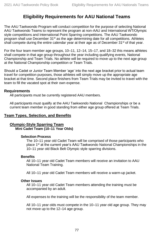# **Eligibility Requirements for AAU National Teams**

The AAU Taekwondo Program will conduct competition for the purpose of selecting National AAU Taekwondo Teams to represent the program at non-AAU and International WT/Olympic style competitions and International Point Sparring competitions. The AAU Taekwondo program shall use December  $31<sup>st</sup>$  as the age determining date for all competitions. Athletes shall compete during the entire calendar year at their age as of December  $31<sup>st</sup>$  of that year.

For the four team member age groups, 10–11, 12–14, 15–17, and 18–32 this means athletes shall compete in that age group throughout the year including qualifying events, National Championship and Team Trials. No athlete will be required to move up to the next age group at the National Championship competition or Team Trials.

Should a Cadet or Junior Team Member 'age' into the next age bracket prior to actual team travel for competition purposes, those athletes will simply move up the appropriate age bracket at that time. Second place finishers from Team Trials may be invited to travel with the team to fill the vacated spot at their own expense.

## **Requirements**

All participants must be currently registered AAU members.

All participants must qualify at the AAU Taekwondo National Championships or be a current team member in good standing from either age group offered at Team Trials.

## **Team Types, Selection, and Benefits**

## **Olympic-Style Sparring Team**

**Mini Cadet Team (10–11 Year Olds)**

#### **Selection Process**

The 10–11 year old Cadet Team will be comprised of those participants who place 1<sup>st</sup> at the current year's AAU Taekwondo National Championships in the 10–11 year old Black Belt Olympic style sparring divisions.

#### **Benefits**

All 10–11 year old Cadet Team members will receive an invitation to AAU National Team Training.

All 10–11 year old Cadet Team members will receive a warm-up jacket.

#### **Other Issues**

All 10–11 year old Cadet Team members attending the training must be accompanied by an adult.

All expenses to the training will be the responsibility of the team member.

All 10–11 year olds must compete in the 10–11 year old age group. They may not move up to the 12–14 age group.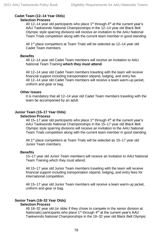## **Cadet Team (12–14 Year Olds)**

#### **Selection Process**

All 12–14 year old participants who place  $1<sup>st</sup>$  through  $4<sup>th</sup>$  at the current year's AAU Taekwondo National Championships in the 12–14 year old Black Belt Olympic style sparring divisions will receive an invitation to the AAU National Team Trials competition along with the current team member in good standing.

All 1<sup>st</sup> place competitors at Team Trials will be selected as 12–14 year old Cadet Team members.

#### **Benefits**

All 12–14 year old Cadet Team members will receive an invitation to AAU National Team Training **which they must attend**.

All 12–14 year old Cadet Team members traveling with the team will receive financial support including transportation stipend, lodging, and entry fee All 12–14 year old Cadet Team members will receive a team warm-up jacket, uniform and gear or bag.

#### **Other Issues**

It is mandatory that all 12–14 year old Cadet Team members traveling with the team be accompanied by an adult.

## **Junior Team (15–17 Year Olds)**

#### **Selection Process**

All 15–17 year old participants who place  $1<sup>st</sup>$  through  $4<sup>th</sup>$  at the current year's AAU Taekwondo National Championships in the 15–17 year old Black Belt Olympic style sparring divisions will receive an invitation to the AAU National Team Trials competition along with the current team member in good standing.

All 1<sup>st</sup> place competitors at Team Trials will be selected as 15–17 year old Junior Team members.

#### **Benefits**

15–17 year old Junior Team members will receive an invitation to AAU National Team Training which they must attend.

All 15–17 year old Junior Team members traveling with the team will receive financial support including transportation stipend, lodging, and entry fees for international competition.

All 15–17 year old Junior Team members will receive a team warm-up jacket, uniform and gear or bag.

# **Senior Team (18–32 Year Olds)**

## **Selection Process**

All 18–32 year old (or older if they chose to compete in the senior division at Nationals) participants who place  $1<sup>st</sup>$  through  $4<sup>th</sup>$  at the current year's AAU Taekwondo National Championships in the 18–32 year old Black Belt Olympic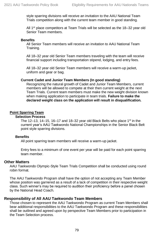style sparring divisions will receive an invitation to the AAU National Team Trials competition along with the current team member in good standing.

All 1<sup>st</sup> place competitors at Team Trials will be selected as the 18–32 year old Senior Team members.

#### **Benefits**

All Senior Team members will receive an invitation to AAU National Team Training.

All 18–32 year old Senior Team members traveling with the team will receive financial support including transportation stipend, lodging, and entry fees.

All 18–32 year old Senior Team members will receive a warm-up jacket, uniform and gear or bag.

#### **Current Cadet and Junior Team Members (In good standing)**

Recognizing the natural growth of Cadet and Junior Team Members, current members will be allowed to compete at their then current weight at the next Team Trials. Current team members must make the new weight division known when making application to participate in team trials. **Failure to make the declared weight class on the application will result in disqualification.**

#### **Point Sparring Team**

#### **Selection Process**

The 12–13, 14–15, 16–17 and 18–32 year old Black Belts who place 1<sup>st</sup> in the current year's AAU Taekwondo National Championships in the Senior Black Belt point style sparring divisions.

#### **Benefits**

All point sparring team members will receive a warm-up jacket.

Entry fees to a minimum of one event per year will be paid for each point sparring team member.

#### **Other Matters**

AAU Taekwondo Olympic-Style Team Trials Competition shall be conducted using round robin format.

The AAU Taekwondo Program shall have the option of not accepting any Team Member whose position was garnered as a result of a lack of competition in their respective weight class. Such winner's may be required to audition their proficiency before a panel chosen by the National Head Coach.

#### **Responsibility of All AAU Taekwondo Team Members**

Those chosen to represent the AAU Taekwondo Program as current Team Members shall bear additional responsibilities to the AAU Taekwondo Program and these responsibilities shall be outlined and agreed upon by perspective Team Members prior to participation in the Team Selection process.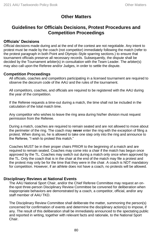## **Other Matters**

## **Guidelines for Officials Decisions, Protest Procedures and Competition Proceedings**

## **Officials' Decisions**

Official decisions made during and at the end of the contest are not negotiable. Any intent to protest must be made by the coach (not competitor) immediately following the match (refer to the protest paragraph in both Point and Olympic-Style sparring sections.) to ensure that tournament officials preserve all necessary records. Subsequently, the dispute shall be decided by the Tournament arbiter(s) in consultation with the Team Leader. The arbiter(s) may also call upon the Referee and/or Judges, in order to settle the dispute.

### **Competition Proceedings**

All officials, coaches and competitors participating in a licensed tournament are required to observe the decorum code of the AAU and the rules of the tournament.

All competitors, coaches, and officials are required to be registered with the AAU during the year of the competition.

If the Referee requests a time-out during a match, the time shall not be included in the calculation of the total match time.

Any competitor who wishes to leave the ring area during his/her division must request permission from the Referee.

During a match, coaches are required to remain seated and are not allowed to move about the perimeter of the ring. The coach may **never** enter the ring with the exception of filing a protest. When doing so, he is allowed to take one step only into the ring and announce to the Referee, "I wish to protest this match."

Coaches MUST be in their proper chairs PRIOR to the beginning of a match and are required to remain seated. Coaches may come into a chair if the match has begun once approved by the TL. Coaches may switch out during a match only once when approved by the TL. Only the coach that is in the chair at the end of the match may file a protest and the protest may only be for the time that they were in the chair. A coach is NOT mandatory for competition. However, if an athlete does not have a coach, no protests will be allowed.

## **Disciplinary Reviews at National Events**

The AAU National Sport Chair, and/or the Chief Referee Committee may request an onthe-spot three-person Disciplinary Review Committee be convened for deliberation when inappropriate behaviors are demonstrated by a coach, a competitor, official, and/or any staff member of AAU TKD.

The Disciplinary Review Committee shall deliberate the matter, summoning the person(s) concerned for confirmation of events and determine the disciplinary action(s) to impose, if any. The result of this deliberation shall be immediately announced to the spectating public and reported in writing, together with relevant facts and rationale, to the National Sport Chair.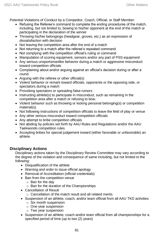Potential Violations of Conduct by a Competitor, Coach, Official, or Staff Member:

- Refusing the Referee's command to complete the ending procedures of the match, including, but not limited to, bowing to his/her opponent at the end of the match or participating in the declaration of the winner
- Throwing his/her belongings (headgear, groves, etc.) as an expression of dissatisfaction with decision
- Not leaving the competition area after the end of a match
- Not returning to a match after the referee's repeated command
- Not complying with the competition official's ruling or command
- Manipulation of scoring equipment, sensors and/or any part of PSS equipment
- Any serious unsportsmanlike behavior during a match or aggressive misconduct toward competition officials
- Complaining about and/or arguing against an official's decision during or after a round.
- Arguing with the referee or other official(s)
- Violent behavior or remark toward officials, opponents or the opposing side, or spectators during a match
- Provoking spectators or spreading false rumors
- Instructing athlete(s) to participate in misconduct, such as remaining in the competition area after a match or refusing to bow.
- Violent behavior such as throwing or kicking personal belonging(s) or competition material(s).
- Not following instructions of competition officials to leave the field of play or venue
- Any other serious misconduct toward competition officials
- Any attempt to bribe competition officials
- Not abiding by policies set forth by AAU Rules and Regulations and/or the AAU Taekwondo competition rules
- Accepting bribes for special judgement toward (either favorable or unfavorable) an athlete

## **Disciplinary Actions**

Disciplinary actions taken by the Disciplinary Review Committee may vary according to the degree of the violation and consequence of same including, but not limited to the following:

- Disqualification of the athlete
- Warning and order to issue official apology
- Removal of Accreditation (official credentials)
- Ban from the competition venue
	- o Ban for the day
	- o Ban for the duration of the Championships
- Cancellation of Result
	- o Cancellation of the match result and all related merits
- Suspension of an athlete, coach, and/or team official from all AAU TKD activities
	- o Six month suspension
	- o One year suspension
	- o Two year suspension
- Suspension of an athlete, coach and/or team official from all championships for a specified period of time (up to two (2) years)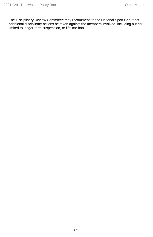The Disciplinary Review Committee may recommend to the National Sport Chair that additional disciplinary actions be taken against the members involved, including but not limited to longer-term suspension, or lifetime ban.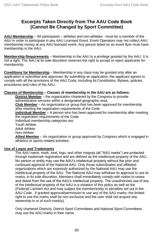## **Excerpts Taken Directly from The AAU Code Book (Cannot Be Changed by Sport Committee)**

**AAU Membership** – All participants – athletes and non-athletes - must be a member of the AAU in order to participate in any AAU Licensed Event. Event Operators may not collect AAU membership money at any AAU licensed event. Any person listed on an event flyer must have membership in the AAU.

**Membership Requirements** – Membership in the AAU is a privilege granted by the AAU. It is not a right. The AAU at its sole discretion reserves the right to accept or reject applicants for membership.

**Conditions for Membership** – Membership in any class may be granted only after an application is submitted and approved. By submitting an application, the applicant agrees to comply with all the provisions of the AAU Code, including its Constitution, Bylaws, policies, procedures and rules of the AAU.

## **Classes of Membership – Classes of membership in the AAU are as follows:**

**District Member** – the organization chartered by the Congress to provide administrative services within a designated geographic area.

**Club Member** – An organization or group that has been approved for membership after meeting the registration requirements of the Code.

**Individual Member** – A person who has been approved for membership after meeting the registration requirements of the Code.

Individual membership categories are:

Youth Athlete Adult Athlete

Non-Athlete

**Allied Member** – An organization or group approved by Congress which is engaged in athletics or sports-related activities.

## **Use of Logos and Trademarks**

The AAU name, mark, seal, logo, and other insignia (all "AAU marks") are protected through trademark registration and are defined as the intellectual property of the AAU. No person or entity may use the AAU's intellectual property without the prior and continued approval of the National AAU. Only those subordinates and affiliated organizations which are expressly authorized by the National AAU may use the intellectual property of the AAU. The National AAU may withdraw its approval to use its marks, in its sole discretion. Members shall immediately comply with notice to cease and desist from the use of the AAU's intellectual property. The unauthorized use of any of the intellectual property of the AAU is a violation of this policy as well as the (Federal) Lanham Act and may subject the member/entity to penalties set out in the AAU Code. If granted approval/permission to use any of the AAU marks, the limited right to use the marks shall be non-exclusive and the user shall not acquire any ownership in or of such mark(s).

Only chartered Districts, District Sport Committees and National Sport Committees may use the AAU marks in their name.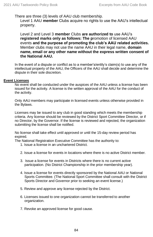There are three (3) levels of AAU club membership.

Level 1 AAU **member** Clubs acquire no rights to use the AAU's intellectual property.

Level 2 and Level 3 **member** Clubs **are authorized to** use AAU's **registered marks only as follows: The p**romotion of licensed AAU events **and the purpose of promoting the club's AAU related activities.**  Member clubs may not use the name AAU in their legal name, **domain name, email or any other name without the express written consent of the National AAU.**

In the event of a dispute or conflict as to a member's/entity's claim(s) to use any of the intellectual property of the AAU, the Officers of the AAU shall decide and determine the dispute in their sole discretion.

#### **Event Licenses**

No event shall be conducted under the auspices of the AAU unless a license has been issued for the activity. A license is the written approval of the AAU for the conduct of the activity.

Only AAU members may participate in licensed events unless otherwise provided in the Bylaws.

Licenses may be issued to any club in good standing which meets the membership criteria. Any license should be reviewed by the District Sport Committee Director, or if no Director, by the Governor. If the license is reviewed and rejected, the organization submitting the license shall be notified.

No license shall take effect until approved or until the 15-day review period has expired.

The National Registration Executive Committee has the authority to:

- 1. Issue a license in an unchartered District.
- 2. Issue a license for events in locations where there is no active District member.
- 3. Issue a license for events in Districts where there is no current active participation. (No District Championship in the prior membership year).
- 4. Issue a license for events directly sponsored by the National AAU or National Sports Committee. (The National Sport Committee shall consult with the District Sports Director and Governor prior to seeking an event license.)
- 5. Review and approve any license rejected by the District.
- 6. Licenses issued to one organization cannot be transferred to another organization.
- 7. Revoke an approved license for good cause.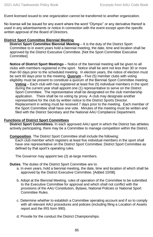Event licensed issued to one organization cannot be transferred to another organization.

No license will be issued for any event where the word "Olympic" or any derivative thereof is used in any advertisements or notice in connection with the event except upon the specific written approval of the Board of Directors.

#### **District Sport Committee Biennial Meeting**

**District Sport Committee Biennial Meeting** – It is the duty of the District Sport Committee to in event years hold a biennial meeting, the date, time and location shall be approved by the District Executive Committee. [Not the Sport Committee Executive Committee]

**Notice of District Sport Meetings** – Notice of the biennial meeting will be given to all clubs with members registered in the sport. Notice shall be sent not less than 30 or more than 60 days prior to the scheduled meeting. In election years, the notice of election must be sent 60 days prior to the meeting. **Quorum** – Five (5) member clubs with voting eligibility must be present to constitute a quorum of the Biennial Sport Committee meeting.

**Voting** – Each club with has registered at least five (5) individual members in the sport during the current year shall appoint one (1) representative to serve on the District Sport Committee. The representative shall be designated on the club membership application. There shall be no voting by proxy. A club may designate another representative for the club by written notice to the District Sports Director. Replacement in writing must be received 7 days prior to the meeting. Each member of the Sport Committee shall have one vote. Minutes of the meeting must be written and filed with the District Secretary and the National AAU Compliance Department.

#### **Functions of District Sport Committees**

**District Sport Committees.** In each approved AAU sport in which the District has athletes actively participating, there may be a Committee to manage competition within the District.

**Composition**. The District Sport Committee shall include the following:

Each club member which registers at least five individual members in the sport shall have one representative on the District Sport Committee; District Sport Committee as defined by that sport's operating rules.

The Governor may appoint two (2) at-large members.

**Duties**. The duties of the District Sport Committee are to:

- a. In even years, hold a biennial meeting, the date, time and location of which shall be approved by the District Executive Committee. [Added 10/08].
- b. Adopt at the Biennial Meeting, rules of operation of the Committee to be submitted to the Executive Committee for approval and which shall not conflict with the provisions of the AAU Constitution, Bylaws, National Policies or National Sport Committee Rules.
- c. Determine whether to establish a Committee operating account and if so to comply with all relevant AAU procedures and policies (including filing a Location of Assets report and the IRS form 990).
- d. Provide for the conduct the District Championships.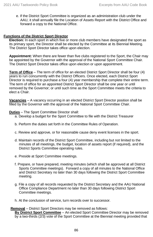e. If the District Sport Committee is organized as an administration club under the AAU, it shall annually file the Location of Assets Report with the District Office and forward a copy to the National Office.

#### **Functions of the District Sport Director**

**Election:** In each sport in which five or more club members have designated the sport as its primary sport, the Director shall be elected by the Committee at its Biennial Meeting. The District Sport Director takes office upon election.

**Appointment:** When there are fewer than five clubs registered to the Sport, the Chair may be appointed by the Governor with the approval of the National Sport Committee Chair. The District Sport Director takes office upon election or upon appointment.

**Term of Office** – The term of office for an elected District Sport Director shall be four (4) years to run concurrently with the District Officers. Once elected, each District Sport Director is required to purchase a four (4) year membership that complete their entire term. The term of office for an appointed District Sport Director shall be one year or until removed by the Governor; or until such time as the Sport Committee meets the criteria to elect a Chair.

**Vacancies** – A vacancy occurring in an elected District Sport Director position shall be filled by the Governor with the approval of the National Sport Committee Chair.

**Duties** – The Sport Committee Director shall:

- a. Develop a budget for the Sport Committee to file with the District Treasurer
- b. Perform the duties set forth in the Committee Rules of Operation.
- c. Review and approve, or for reasonable cause deny event licenses in the sport.
- d. Maintain records of the District Sport Committee, including but not limited to the minutes of all meetings, the budget, location of assets report (if required), and the District Sports Committee operating rules.
- e. Preside at Sport Committee meetings.
- f. Prepare, or have prepared, meeting minutes (which shall be approved at all District Sports Committee meetings). Forward a copy of all minutes to the National Office and District Secretary no later than 30 days following the District Sport Committee meeting.
- g. File a copy of all records requested by the District Secretary and the AAU National Office Compliance Department no later than 30 days following District Sport Committee meetings.
- h. At the conclusion of service, turn records over to successor.

#### **Removal** – District Sport Directors may be removed as follows:

**By District Sport Committee** – An elected Sport Committee Director may be removed by a two-thirds (2/3) vote of the Sport Committee at the Biennial meeting provided that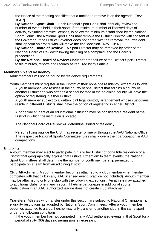the Notice of the meeting specifies that a motion to remove is on the agenda. [Rev. 10/07]

**By National Sport Chair** – Each National Sport Chair shall annually review the number of events held in their sport. If the minimum number of licensed days of activity, excluding practice licenses, is below the minimum established by the National Sport Council the National Sport Chair may remove the District Director with consent of the Governor. If the District Governor does not agree with the removal, the President shall appoint an arbiter who will make the final decision. [Rev. 10/07]

**By National Board of Review** – A Sport Director may be removed by order of the National Board of Review following the filing of a complaint and the Board's proceedings.

**By the National Board of Review Chair** after the failure of the District Sport Director to file minutes, reports and records as required by this article.

#### **Membership and Residency**

Adult members will not be bound by residence requirements.

Youth members must register in the District of their bona fide residency, except as follows: A youth member who resides in the county of one District that adjoins a county of another District and who attends a school located in the adjoining county will have the option of registering in either District.

A youth member subject to a written joint legal custody arrangement whose custodians reside in different Districts shall have the option of registering in either District.

A bona fide student at an educational institution may be considered a resident of the District in which the institution is located.

The National Board of Review will determine issued of residency.

Persons living outside the U.S. may register online or through the AAU National Office. The respective National Sports Committee rules shall govern their participation in AAU competitions.

#### **Eligibility**

A youth member may elect to participate in his or her District of bona fide residence or a District that geographically adjoins that District. Exception: In team events, the National Sport Committees shall determine the number of youth membership permitted to participate on a team from an adjoining District.

**Club Attachment.** A youth member becomes attached to a club member when he/she competes with that club in any AAU licensed event (practice not included). Ayouth member may be attached to only one club with the following exceptions: An athlete may attached to additional clubs (one in each sport) if he/she participates in additional sports. Participation in an AAU authorized league does not create club attachment.

**Transfers.** Athletes who transfer under this section are subject to National Championship eligibility restrictions as adopted by National Sport Committees. After a youth member becomes attached to a club, he/she may only transfer to another club in the same sport under the following conditions:

If the youth member has not competed in any AAU authorized events in that Sport for a period of sixty (60) days no permission is necessary.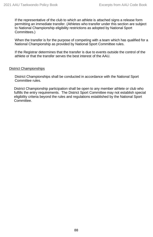If the representative of the club to which an athlete is attached signs a release form permitting an immediate transfer. (Athletes who transfer under this section are subject to National Championship eligibility restrictions as adopted by National Sport Committees.)

When the transfer is for the purpose of competing with a team which has qualified for a National Championship as provided by National Sport Committee rules.

If the Registrar determines that the transfer is due to events outside the control of the athlete or that the transfer serves the best interest of the AAU.

#### District Championships

District Championships shall be conducted in accordance with the National Sport Committee rules.

District Championship participation shall be open to any member athlete or club who fulfills the entry requirements. The District Sport Committee may not establish special eligibility criteria beyond the rules and regulations established by the National Sport Committee.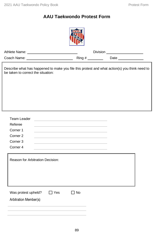# **AAU Taekwondo Protest Form**



|                                                                                                                                     |        | <b>Division</b> | <u> 1989 - Johann Stein, mars an deutscher Stein (</u> |
|-------------------------------------------------------------------------------------------------------------------------------------|--------|-----------------|--------------------------------------------------------|
|                                                                                                                                     | Ring # |                 | Date<br><b>Contract Contract Contract</b>              |
| Describe what has happened to make you file this protest and what action(s) you think need to<br>be taken to correct the situation: |        |                 |                                                        |
|                                                                                                                                     |        |                 |                                                        |

| <b>Team Leader</b>                      |            |           |  |
|-----------------------------------------|------------|-----------|--|
| Referee                                 |            |           |  |
| Corner <sub>1</sub>                     |            |           |  |
| Corner <sub>2</sub>                     |            |           |  |
| Corner 3                                |            |           |  |
| Corner <sub>4</sub>                     |            |           |  |
|                                         |            |           |  |
| <b>Reason for Arbitration Decision:</b> |            |           |  |
|                                         |            |           |  |
|                                         |            |           |  |
|                                         |            |           |  |
|                                         |            |           |  |
|                                         |            |           |  |
| Was protest upheld?                     | $\Box$ Yes | $\Box$ No |  |
| Arbitration Member(s)                   |            |           |  |
|                                         |            |           |  |
|                                         |            |           |  |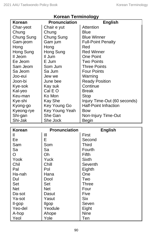| <b>Pronunciation</b> |                |                              |  |
|----------------------|----------------|------------------------------|--|
| <b>Korean</b>        |                | <b>English</b>               |  |
| Char-yeot            | Chair e yut    | <b>Attention</b>             |  |
| Chung                | Chung          | Blue                         |  |
| Chung Sung           | Chung Sung     | <b>Blue Winner</b>           |  |
| Gam-jeom             | Gam jum        | <b>Full-Point Penalty</b>    |  |
| Hong                 | Hong           | Red                          |  |
| Hong Sung            | Hong Sung      | <b>Red Winner</b>            |  |
| Il Jeom              | II Jum         | <b>One Point</b>             |  |
| Ee Jeom              | E Jum          | <b>Two Points</b>            |  |
| Sam Jeom             | Som Jum        | <b>Three Points</b>          |  |
| Sa Jeom              | Sa Jum         | <b>Four Points</b>           |  |
| Joo-eui              | Jew we         | Warning                      |  |
| Joon-bi              | June bee       | <b>Ready Position</b>        |  |
| Kye-sok              | Kay suk        | Continue                     |  |
| Kal-yeo              | Cal E O        | Break                        |  |
| Keu-man              | Ko Mon         | <b>Stop</b>                  |  |
| Kye-shi              | Kay She        | Injury Time-Out (60 seconds) |  |
| Kyong-go             | Key Young Go   | <b>Half-Point Infraction</b> |  |
| Kyeong-rye           | Key Young Yeah | Bow                          |  |
| Shi-gan              | She Gan        | Non-Injury Time-Out          |  |
| Shi-Jak              | She Jock       | <b>Begin</b>                 |  |

| <b>Korean</b> | <b>Pronunciation</b> | <b>English</b> |
|---------------|----------------------|----------------|
| Ш             | Ш                    | First          |
| Ee            | E                    | Second         |
| Sam           | Som                  | Third          |
| Sa            | Sa                   | Fourth         |
| O             | Oh                   | <b>Fifth</b>   |
| Yook          | Yuck                 | Sixth          |
| Chil          | Chill                | Seventh        |
| Pal           | Pol                  | Eighth         |
| Ha-nah        | Hana                 | One            |
| Dul           | Dool                 | Two            |
| Set           | Set                  | <b>Three</b>   |
| <b>Net</b>    | <b>Net</b>           | Four           |
| Da-sot        | Dasut                | Five           |
| Ya-sot        | Yasut                | <b>Six</b>     |
| Il-gop        | <b>Ilgop</b>         | Seven          |
| Yeo-del       | Yeodule              | Eight          |
| A-hop         | Ahope                | <b>Nine</b>    |
| Yeol          | Yole                 | Ten            |

# **Korean Terminology**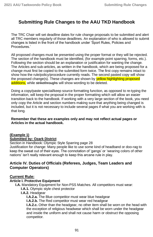# **Submitting Rule Changes to the AAU TKD Handbook**

The TRC Chair will set deadline dates for rule change proposals to be submitted and alert all TRC members regularly of those deadlines. An explanation of who is allowed to submit changes is listed in the front of the handbook under 'Sport Rules, Policies and Procedures.'

All proposed changes must be presented using the proper format or they will be rejected. The section of the handbook must be identified, (for example point sparring, forms, etc.). Following the section should be an explanation or justification for wanting the change. The Articles and sub-articles, as written in the handbook, which are being proposed for a change must first be copied to the submitted form twice. The first copy remains intact to show how the rule/policy/procedure currently reads. The second pasted copy will show the proposed change(s). These changes are shown by **yellow highlighting proposed** additions, while strikethroughs will show wording to be deleted.

Doing a copy/paste special/keep source formatting function, as opposed to re-typing the information, will keep the proposal in the proper formatting which will allow an easier transition back to the handbook. If working with a very large section of the book, you need only copy the Article and section numbers making sure that anything being changed is included, but it is not necessary to include several pages if what you are working with is that long.

#### **Remember that these are examples only and may not reflect actual pages or Articles in the actual handbook.**

## **(Example 1)**

#### **Submitted by: Ozark District**

Section in Handbook: Olympic Style Sparring page 28

Justification for change: Many people like to use some kind of headband or doo-rag to keep the sweat out of their eyes. The connotation of 'gangs' or 'wearing colors of other nations' isn't really relevant enough to keep this arcane rule in play.

## **Article IV. Duties of Officials (Referees, Judges, Team Leaders and Computer Operators)**

## **Current Rule:**

## **Article I. Protective Equipment**

**I.A.** Mandatory Equipment for Non-PSS Matches. All competitors must wear:

- **I.A.1.** Olympic style chest protector
- **I.A.2.** Headgear

**I.A.2.a.** The Blue competitor must wear blue headgear

**I.A.2.b.** The Red competitor must wear red headgear

**I.A.2.c.** Other than the headgear, no other item shall be worn on the head with the exception of religious headwear which shall be worn under the headgear and inside the uniform and shall not cause harm or obstruct the opposing competitor.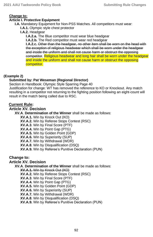## **Change to:**

#### **Article I. Protective Equipment**

**I.A.** Mandatory Equipment for Non-PSS Matches. All competitors must wear:

- **I.A.1.** Olympic style chest protector
- **I.A.2.** Headgear

**I.A.2.a.** The Blue competitor must wear blue headgear

**I.A.2.b.** The Red competitor must wear red headgear

**I.A.2.c.** Other than the headgear, no other item shall be worn on the head with the exception of religious headwear which shall be worn under the headgear and inside the uniform and shall not cause harm or obstruct the opposing competitor. Religious headwear and long hair shall be worn under the headgear and inside the uniform and shall not cause harm or obstruct the opposing competitor.

## **(Example 2)**

## **Submitted by: Pat Weseman (Regional Director)**

Section in Handbook: Olympic Style Sparring Page 40

Justification for change: WT has removed the reference to KO or Knockout. Any match resulting in a competitor not returning to the fighting position following an eight-count will result in the match being called due to RSC.

## **Current Rule:**

## **Article XV. Decision**

**XV.A**. **Determination of the Winner** shall be made as follows:

**XV.A.1.** Win by Knock Out (KO)

**XV.A.2.** Win by Referee Stops Contest (RSC)

**XV.A.3**. Win by Final Score (PTF)

**XV.A.4.** Win by Point Gap (PTG)

**XV.A.5.** Win by Golden Point (GDP)

**XV.A.6.** Win by Superiority (SUP)

**XV.A.7.** Win by Withdrawal (WDR)

**XV.A.8**. Win by Disqualification (DSQ)

**XV.A.9.** Win by Referee's Punitive Declaration (PUN)

## **Change to:**

## **Article XV. Decision**

**XV.A**. **Determination of the Winner** shall be made as follows:

**XV.A.1.** Win by Knock Out (KO)

**XV.A.2.** Win by Referee Stops Contest (RSC)

**XV.A.3**. Win by Final Score (PTF)

**XV.A.4.** Win by Point Gap (PTG)

**XV.A.5.** Win by Golden Point (GDP)

**XV.A.6.** Win by Superiority (SUP)

**XV.A.7.** Win by Withdrawal (WDR)

**XV.A.8**. Win by Disqualification (DSQ)

**XV.A.9.** Win by Referee's Punitive Declaration (PUN)